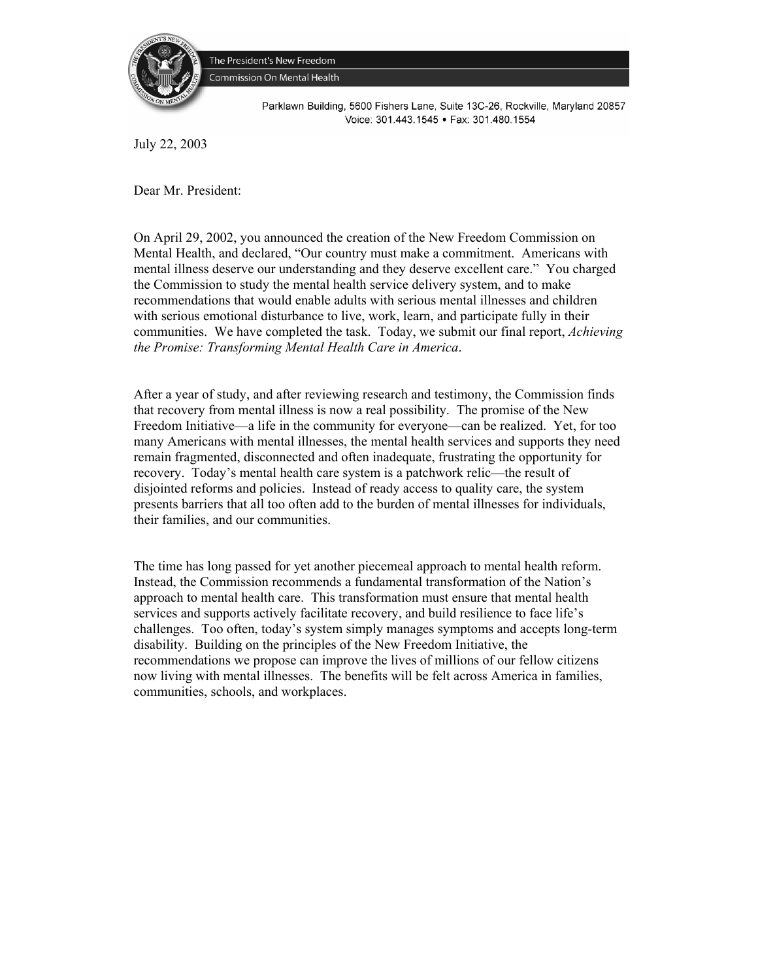

The President's New Freedom Commission On Mental Health

> Parklawn Building, 5600 Fishers Lane, Suite 13C-26, Rockville, Maryland 20857 Voice: 301.443.1545 · Fax: 301.480.1554

July 22, 2003

Dear Mr. President:

On April 29, 2002, you announced the creation of the New Freedom Commission on Mental Health, and declared, "Our country must make a commitment. Americans with mental illness deserve our understanding and they deserve excellent care." You charged the Commission to study the mental health service delivery system, and to make recommendations that would enable adults with serious mental illnesses and children with serious emotional disturbance to live, work, learn, and participate fully in their communities. We have completed the task. Today, we submit our final report, *Achieving the Promise: Transforming Mental Health Care in America*.

After a year of study, and after reviewing research and testimony, the Commission finds that recovery from mental illness is now a real possibility. The promise of the New Freedom Initiative—a life in the community for everyone—can be realized. Yet, for too many Americans with mental illnesses, the mental health services and supports they need remain fragmented, disconnected and often inadequate, frustrating the opportunity for recovery. Today's mental health care system is a patchwork relic—the result of disjointed reforms and policies. Instead of ready access to quality care, the system presents barriers that all too often add to the burden of mental illnesses for individuals, their families, and our communities.

The time has long passed for yet another piecemeal approach to mental health reform. Instead, the Commission recommends a fundamental transformation of the Nation's approach to mental health care. This transformation must ensure that mental health services and supports actively facilitate recovery, and build resilience to face life's challenges. Too often, today's system simply manages symptoms and accepts long-term disability. Building on the principles of the New Freedom Initiative, the recommendations we propose can improve the lives of millions of our fellow citizens now living with mental illnesses. The benefits will be felt across America in families, communities, schools, and workplaces.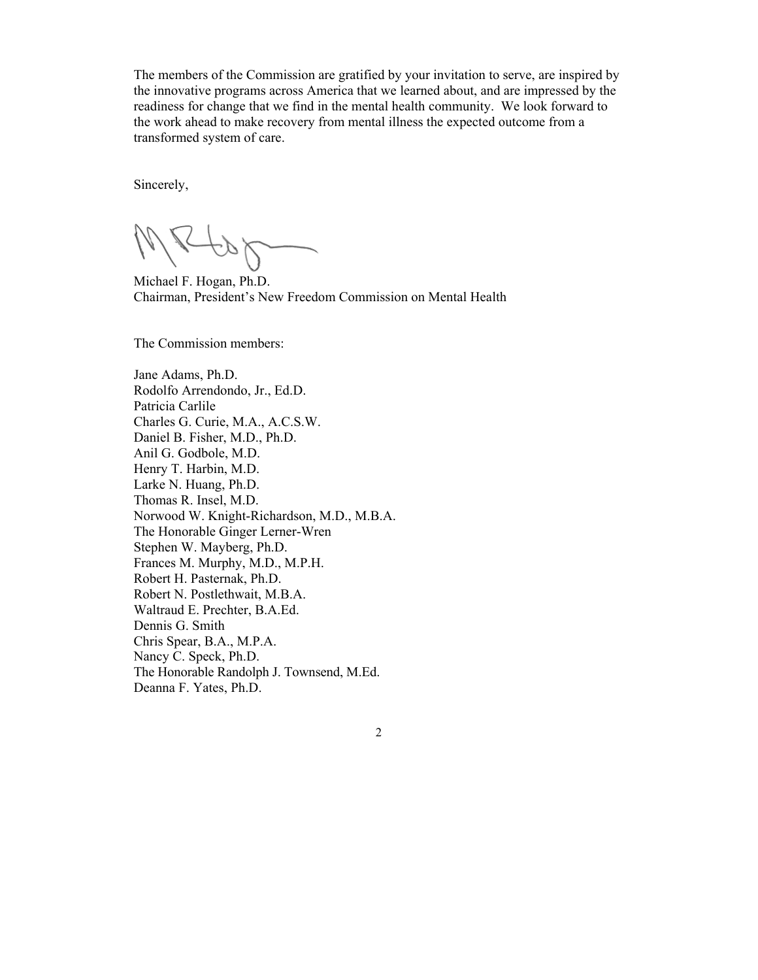The members of the Commission are gratified by your invitation to serve, are inspired by the innovative programs across America that we learned about, and are impressed by the readiness for change that we find in the mental health community. We look forward to the work ahead to make recovery from mental illness the expected outcome from a transformed system of care.

2

Sincerely,

 $K_{\text{tot}}$ 

Michael F. Hogan, Ph.D. Chairman, President's New Freedom Commission on Mental Health

The Commission members:

Jane Adams, Ph.D. Rodolfo Arrendondo, Jr., Ed.D. Patricia Carlile Charles G. Curie, M.A., A.C.S.W. Daniel B. Fisher, M.D., Ph.D. Anil G. Godbole, M.D. Henry T. Harbin, M.D. Larke N. Huang, Ph.D. Thomas R. Insel, M.D. Norwood W. Knight-Richardson, M.D., M.B.A. The Honorable Ginger Lerner-Wren Stephen W. Mayberg, Ph.D. Frances M. Murphy, M.D., M.P.H. Robert H. Pasternak, Ph.D. Robert N. Postlethwait, M.B.A. Waltraud E. Prechter, B.A.Ed. Dennis G. Smith Chris Spear, B.A., M.P.A. Nancy C. Speck, Ph.D. The Honorable Randolph J. Townsend, M.Ed. Deanna F. Yates, Ph.D.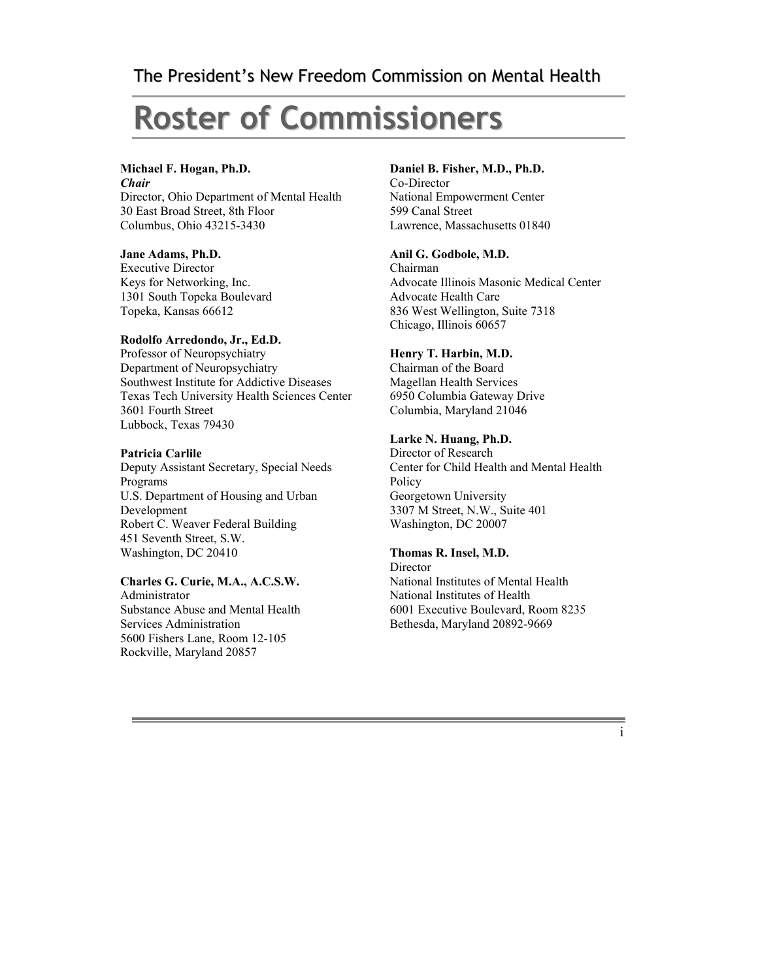# **Roster of Commissioners**

#### **Michael F. Hogan, Ph.D.**

*Chair* 

Director, Ohio Department of Mental Health 30 East Broad Street, 8th Floor Columbus, Ohio 43215-3430

## **Jane Adams, Ph.D.**

Executive Director Keys for Networking, Inc. 1301 South Topeka Boulevard Topeka, Kansas 66612

## **Rodolfo Arredondo, Jr., Ed.D.**

Professor of Neuropsychiatry Department of Neuropsychiatry Southwest Institute for Addictive Diseases Texas Tech University Health Sciences Center 3601 Fourth Street Lubbock, Texas 79430

#### **Patricia Carlile**

Deputy Assistant Secretary, Special Needs Programs U.S. Department of Housing and Urban Development Robert C. Weaver Federal Building 451 Seventh Street, S.W. Washington, DC 20410

## **Charles G. Curie, M.A., A.C.S.W.**

Administrator Substance Abuse and Mental Health Services Administration 5600 Fishers Lane, Room 12-105 Rockville, Maryland 20857

#### **Daniel B. Fisher, M.D., Ph.D.**

Co-Director National Empowerment Center 599 Canal Street Lawrence, Massachusetts 01840

## **Anil G. Godbole, M.D.**

Chairman Advocate Illinois Masonic Medical Center Advocate Health Care 836 West Wellington, Suite 7318 Chicago, Illinois 60657

## **Henry T. Harbin, M.D.**

Chairman of the Board Magellan Health Services 6950 Columbia Gateway Drive Columbia, Maryland 21046

## **Larke N. Huang, Ph.D.**

Director of Research Center for Child Health and Mental Health Policy Georgetown University 3307 M Street, N.W., Suite 401 Washington, DC 20007

## **Thomas R. Insel, M.D.**

Director National Institutes of Mental Health National Institutes of Health 6001 Executive Boulevard, Room 8235 Bethesda, Maryland 20892-9669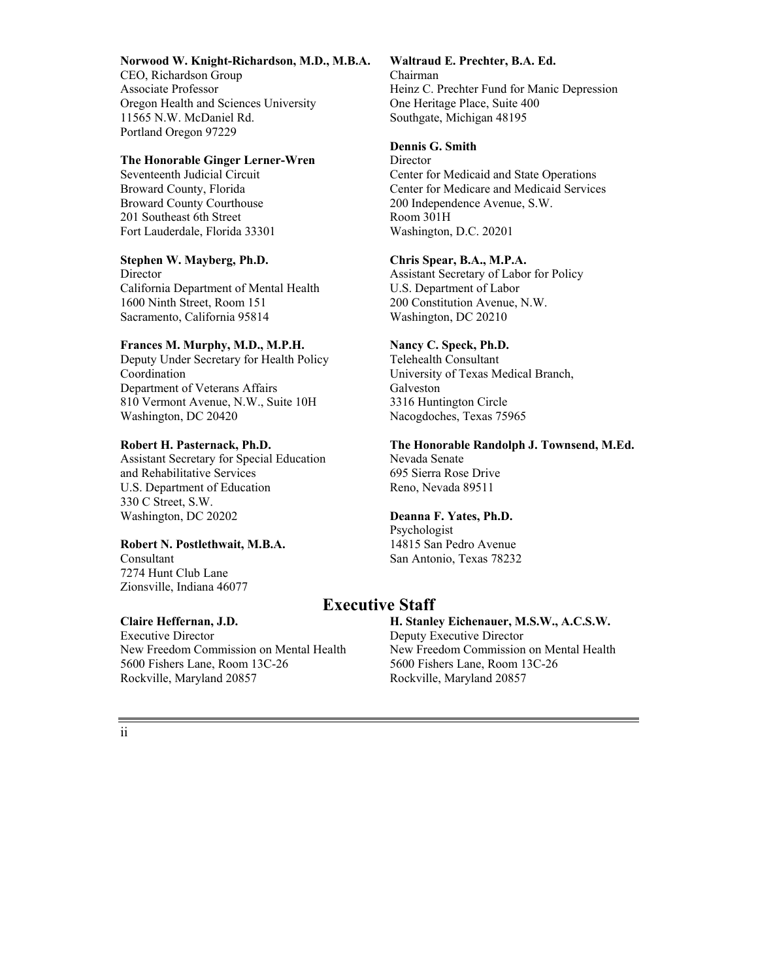## **Norwood W. Knight-Richardson, M.D., M.B.A.**

CEO, Richardson Group Associate Professor Oregon Health and Sciences University 11565 N.W. McDaniel Rd. Portland Oregon 97229

#### **The Honorable Ginger Lerner-Wren**

Seventeenth Judicial Circuit Broward County, Florida Broward County Courthouse 201 Southeast 6th Street Fort Lauderdale, Florida 33301

#### **Stephen W. Mayberg, Ph.D.**

Director California Department of Mental Health 1600 Ninth Street, Room 151 Sacramento, California 95814

#### **Frances M. Murphy, M.D., M.P.H.**

Deputy Under Secretary for Health Policy Coordination Department of Veterans Affairs 810 Vermont Avenue, N.W., Suite 10H Washington, DC 20420

#### **Robert H. Pasternack, Ph.D.**

Assistant Secretary for Special Education and Rehabilitative Services U.S. Department of Education 330 C Street, S.W. Washington, DC 20202

## **Robert N. Postlethwait, M.B.A.**

Consultant 7274 Hunt Club Lane Zionsville, Indiana 46077

# **Waltraud E. Prechter, B.A. Ed.**

Chairman Heinz C. Prechter Fund for Manic Depression One Heritage Place, Suite 400 Southgate, Michigan 48195

#### **Dennis G. Smith**

**Director** Center for Medicaid and State Operations Center for Medicare and Medicaid Services 200 Independence Avenue, S.W. Room 301H Washington, D.C. 20201

#### **Chris Spear, B.A., M.P.A.**

Assistant Secretary of Labor for Policy U.S. Department of Labor 200 Constitution Avenue, N.W. Washington, DC 20210

#### **Nancy C. Speck, Ph.D.**

Telehealth Consultant University of Texas Medical Branch, Galveston 3316 Huntington Circle Nacogdoches, Texas 75965

#### **The Honorable Randolph J. Townsend, M.Ed.**

Nevada Senate 695 Sierra Rose Drive Reno, Nevada 89511

#### **Deanna F. Yates, Ph.D.**

Psychologist 14815 San Pedro Avenue San Antonio, Texas 78232

# **Executive Staff**

## **Claire Heffernan, J.D.**

Executive Director New Freedom Commission on Mental Health 5600 Fishers Lane, Room 13C-26 Rockville, Maryland 20857

# **H. Stanley Eichenauer, M.S.W., A.C.S.W.**

Deputy Executive Director New Freedom Commission on Mental Health 5600 Fishers Lane, Room 13C-26 Rockville, Maryland 20857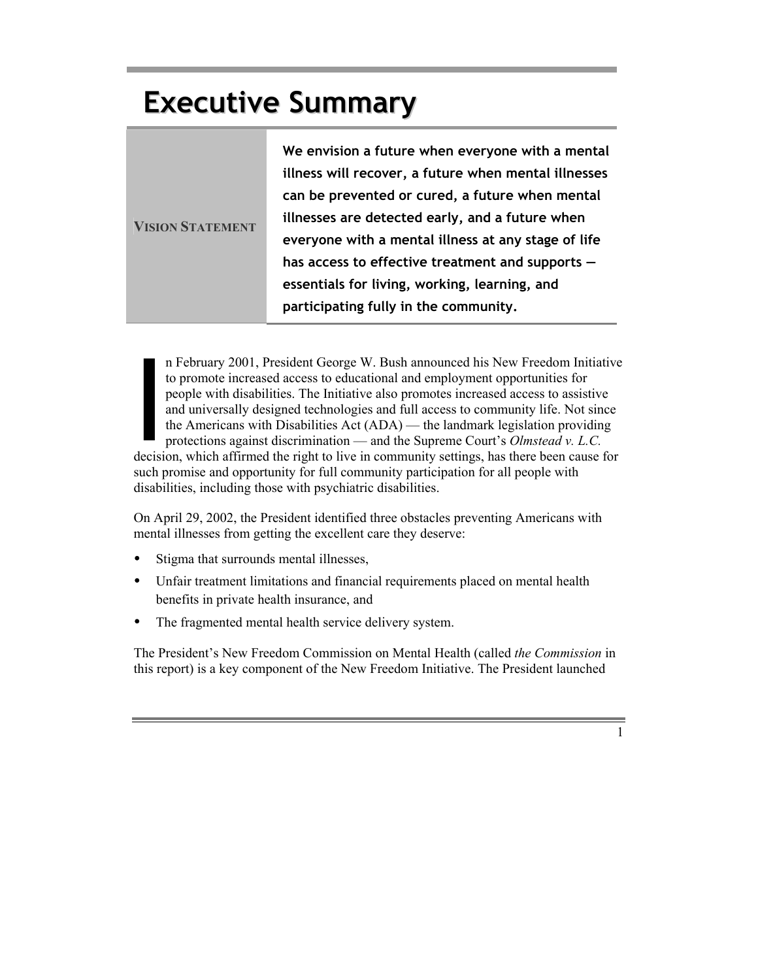# **Executive Summary**

| <b>VISION STATEMENT</b> | We envision a future when everyone with a mental<br>illness will recover, a future when mental illnesses<br>can be prevented or cured, a future when mental<br>illnesses are detected early, and a future when<br>everyone with a mental illness at any stage of life<br>has access to effective treatment and supports –<br>essentials for living, working, learning, and<br>participating fully in the community. |
|-------------------------|---------------------------------------------------------------------------------------------------------------------------------------------------------------------------------------------------------------------------------------------------------------------------------------------------------------------------------------------------------------------------------------------------------------------|
|-------------------------|---------------------------------------------------------------------------------------------------------------------------------------------------------------------------------------------------------------------------------------------------------------------------------------------------------------------------------------------------------------------------------------------------------------------|

n February 2001, President George W. Bush announced his New Freedom Initiative to promote increased access to educational and employment opportunities for people with disabilities. The Initiative also promotes increased access to assistive and universally designed technologies and full access to community life. Not since the Americans with Disabilities Act (ADA) — the landmark legislation providing protections against discrimination — and the Supreme Court's *Olmstead v. L.C.*  n February 2001, President George W. Bush announced his New Freedom Initiative<br>to promote increased access to educational and employment opportunities for<br>people with disabilities. The Initiative also promotes increased ac such promise and opportunity for full community participation for all people with disabilities, including those with psychiatric disabilities.

On April 29, 2002, the President identified three obstacles preventing Americans with mental illnesses from getting the excellent care they deserve:

- Stigma that surrounds mental illnesses,
- Unfair treatment limitations and financial requirements placed on mental health benefits in private health insurance, and
- The fragmented mental health service delivery system.

The President's New Freedom Commission on Mental Health (called *the Commission* in this report) is a key component of the New Freedom Initiative. The President launched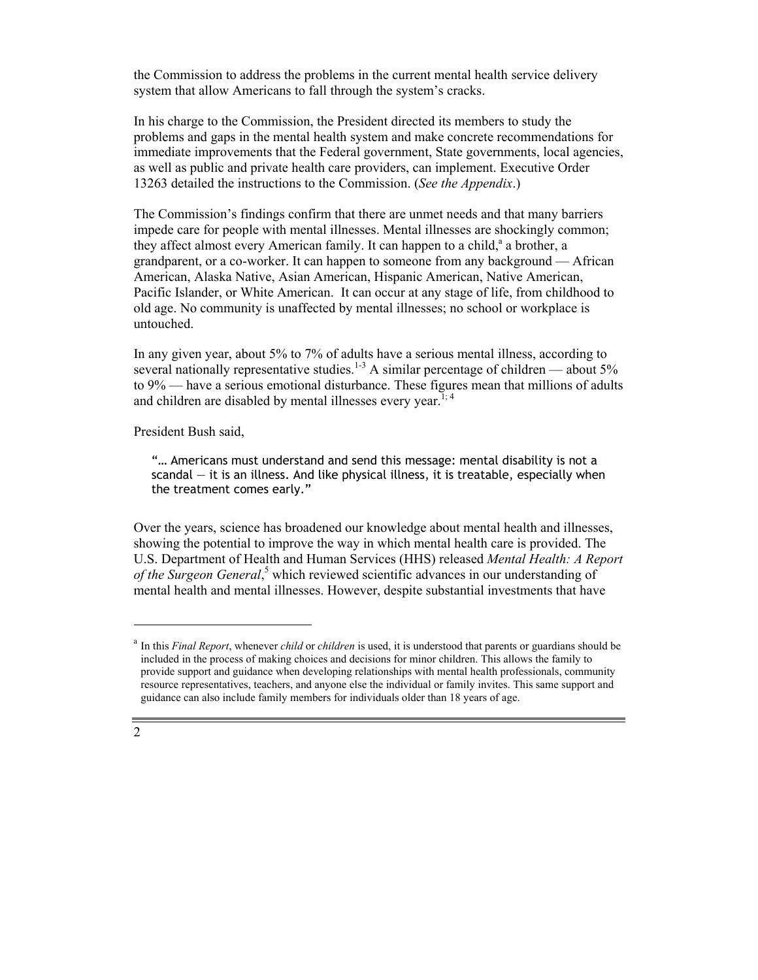the Commission to address the problems in the current mental health service delivery system that allow Americans to fall through the system's cracks.

In his charge to the Commission, the President directed its members to study the problems and gaps in the mental health system and make concrete recommendations for immediate improvements that the Federal government, State governments, local agencies, as well as public and private health care providers, can implement. Executive Order 13263 detailed the instructions to the Commission. (*See the Appendix*.)

The Commission's findings confirm that there are unmet needs and that many barriers impede care for people with mental illnesses. Mental illnesses are shockingly common; they affect almost every American family. It can happen to a child,<sup>a</sup> a brother, a grandparent, or a co-worker. It can happen to someone from any background — African American, Alaska Native, Asian American, Hispanic American, Native American, Pacific Islander, or White American. It can occur at any stage of life, from childhood to old age. No community is unaffected by mental illnesses; no school or workplace is untouched.

In any given year, about 5% to 7% of adults have a serious mental illness, according to several nationally representative studies.<sup>1-3</sup> A similar percentage of children — about 5% to 9% — have a serious emotional disturbance. These figures mean that millions of adults and children are disabled by mental illnesses every year.<sup>1; 4</sup>

President Bush said,

"… Americans must understand and send this message: mental disability is not a scandal — it is an illness. And like physical illness, it is treatable, especially when the treatment comes early."

Over the years, science has broadened our knowledge about mental health and illnesses, showing the potential to improve the way in which mental health care is provided. The U.S. Department of Health and Human Services (HHS) released *Mental Health: A Report*  of the Surgeon General,<sup>5</sup> which reviewed scientific advances in our understanding of mental health and mental illnesses. However, despite substantial investments that have

1

<sup>a</sup> In this *Final Report*, whenever *child* or *children* is used, it is understood that parents or guardians should be included in the process of making choices and decisions for minor children. This allows the family to provide support and guidance when developing relationships with mental health professionals, community resource representatives, teachers, and anyone else the individual or family invites. This same support and guidance can also include family members for individuals older than 18 years of age.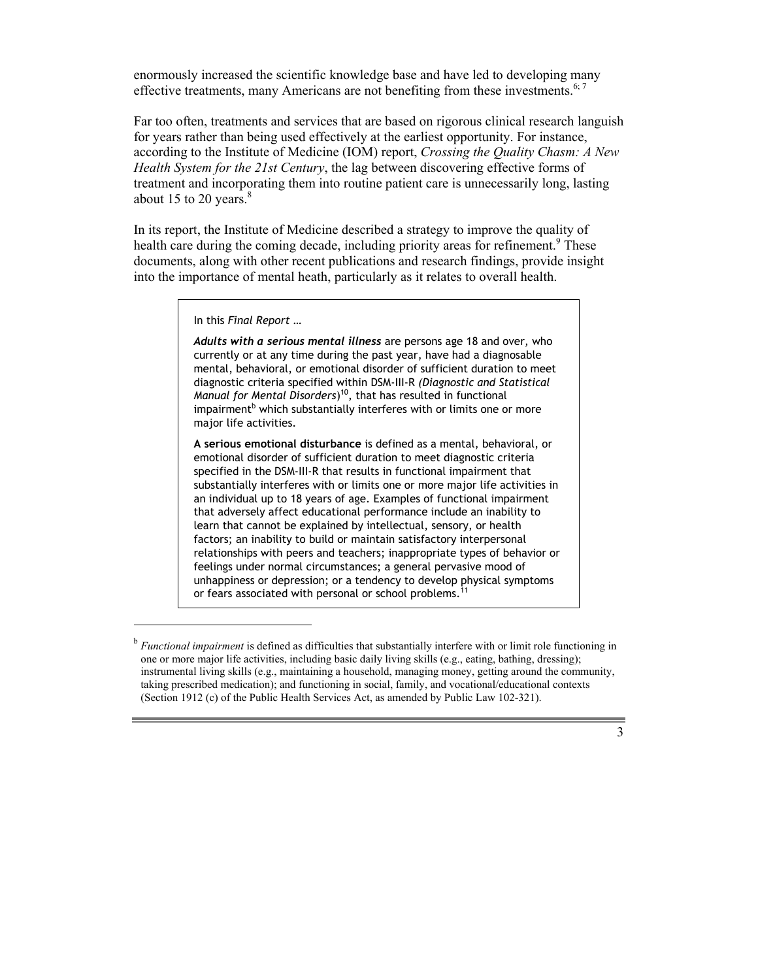enormously increased the scientific knowledge base and have led to developing many effective treatments, many Americans are not benefiting from these investments.<sup>6; 7</sup>

Far too often, treatments and services that are based on rigorous clinical research languish for years rather than being used effectively at the earliest opportunity. For instance, according to the Institute of Medicine (IOM) report, *Crossing the Quality Chasm: A New Health System for the 21st Century*, the lag between discovering effective forms of treatment and incorporating them into routine patient care is unnecessarily long, lasting about 15 to 20 years. $8<sup>8</sup>$ 

In its report, the Institute of Medicine described a strategy to improve the quality of health care during the coming decade, including priority areas for refinement.<sup>9</sup> These documents, along with other recent publications and research findings, provide insight into the importance of mental heath, particularly as it relates to overall health.

#### In this *Final Report* …

l

*Adults with a serious mental illness* are persons age 18 and over, who currently or at any time during the past year, have had a diagnosable mental, behavioral, or emotional disorder of sufficient duration to meet diagnostic criteria specified within DSM-III-R *(Diagnostic and Statistical Manual for Mental Disorders*) 10, that has resulted in functional impairment<sup>b</sup> which substantially interferes with or limits one or more major life activities.

**A serious emotional disturbance** is defined as a mental, behavioral, or emotional disorder of sufficient duration to meet diagnostic criteria specified in the DSM-III-R that results in functional impairment that substantially interferes with or limits one or more major life activities in an individual up to 18 years of age. Examples of functional impairment that adversely affect educational performance include an inability to learn that cannot be explained by intellectual, sensory, or health factors; an inability to build or maintain satisfactory interpersonal relationships with peers and teachers; inappropriate types of behavior or feelings under normal circumstances; a general pervasive mood of unhappiness or depression; or a tendency to develop physical symptoms or fears associated with personal or school problems.<sup>11</sup>

<sup>b</sup> *Functional impairment* is defined as difficulties that substantially interfere with or limit role functioning in one or more major life activities, including basic daily living skills (e.g., eating, bathing, dressing); instrumental living skills (e.g., maintaining a household, managing money, getting around the community, taking prescribed medication); and functioning in social, family, and vocational/educational contexts (Section 1912 (c) of the Public Health Services Act, as amended by Public Law 102-321).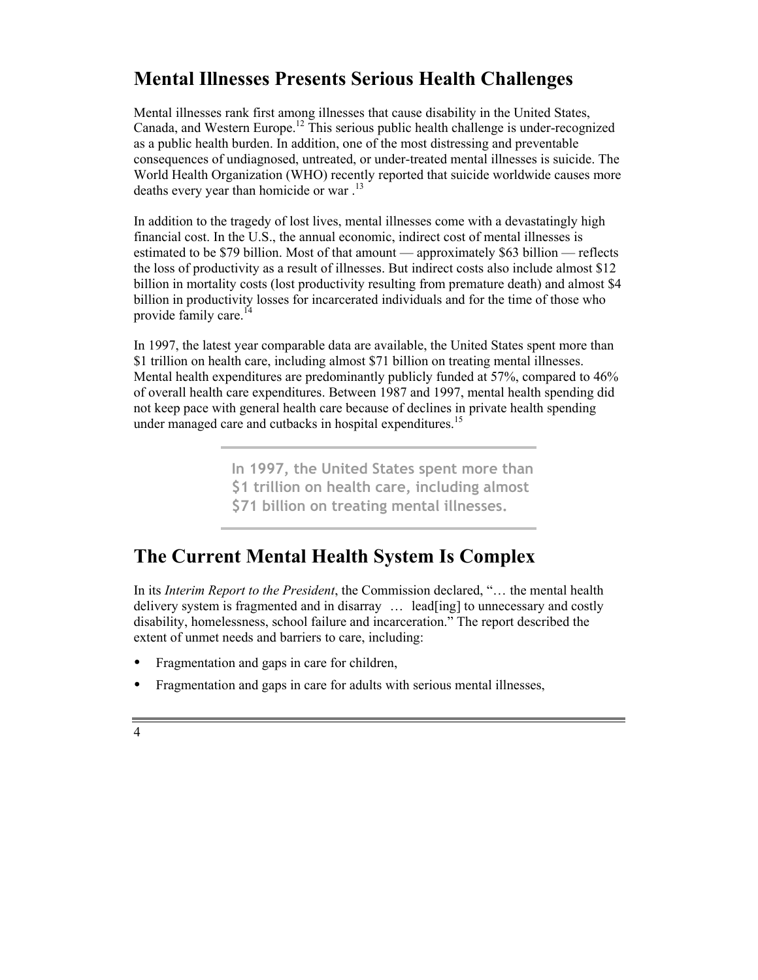# **Mental Illnesses Presents Serious Health Challenges**

Mental illnesses rank first among illnesses that cause disability in the United States, Canada, and Western Europe.<sup>12</sup> This serious public health challenge is under-recognized as a public health burden. In addition, one of the most distressing and preventable consequences of undiagnosed, untreated, or under-treated mental illnesses is suicide. The World Health Organization (WHO) recently reported that suicide worldwide causes more deaths every year than homicide or war.<sup>13</sup>

In addition to the tragedy of lost lives, mental illnesses come with a devastatingly high financial cost. In the U.S., the annual economic, indirect cost of mental illnesses is estimated to be \$79 billion. Most of that amount — approximately \$63 billion — reflects the loss of productivity as a result of illnesses. But indirect costs also include almost \$12 billion in mortality costs (lost productivity resulting from premature death) and almost \$4 billion in productivity losses for incarcerated individuals and for the time of those who provide family care.<sup>14</sup>

In 1997, the latest year comparable data are available, the United States spent more than \$1 trillion on health care, including almost \$71 billion on treating mental illnesses. Mental health expenditures are predominantly publicly funded at 57%, compared to 46% of overall health care expenditures. Between 1987 and 1997, mental health spending did not keep pace with general health care because of declines in private health spending under managed care and cutbacks in hospital expenditures.<sup>15</sup>

> **In 1997, the United States spent more than \$1 trillion on health care, including almost \$71 billion on treating mental illnesses.**

# **The Current Mental Health System Is Complex**

In its *Interim Report to the President*, the Commission declared, "… the mental health delivery system is fragmented and in disarray … lead[ing] to unnecessary and costly disability, homelessness, school failure and incarceration." The report described the extent of unmet needs and barriers to care, including:

- Fragmentation and gaps in care for children,
- Fragmentation and gaps in care for adults with serious mental illnesses,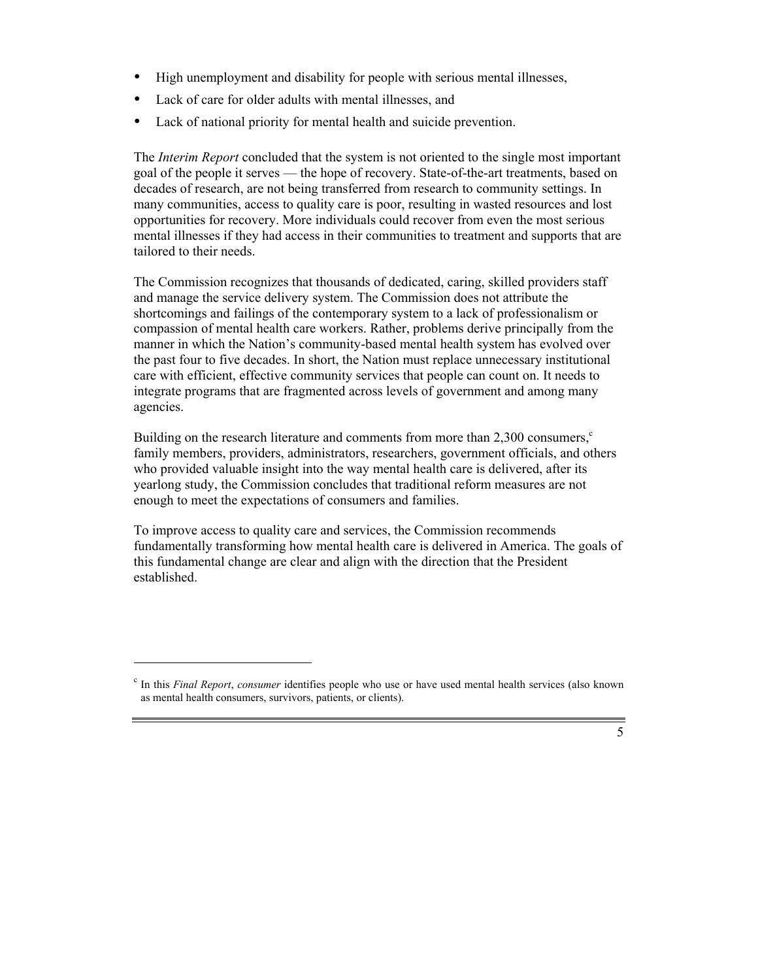- High unemployment and disability for people with serious mental illnesses,
- Lack of care for older adults with mental illnesses, and
- Lack of national priority for mental health and suicide prevention.

The *Interim Report* concluded that the system is not oriented to the single most important goal of the people it serves — the hope of recovery. State-of-the-art treatments, based on decades of research, are not being transferred from research to community settings. In many communities, access to quality care is poor, resulting in wasted resources and lost opportunities for recovery. More individuals could recover from even the most serious mental illnesses if they had access in their communities to treatment and supports that are tailored to their needs.

The Commission recognizes that thousands of dedicated, caring, skilled providers staff and manage the service delivery system. The Commission does not attribute the shortcomings and failings of the contemporary system to a lack of professionalism or compassion of mental health care workers. Rather, problems derive principally from the manner in which the Nation's community-based mental health system has evolved over the past four to five decades. In short, the Nation must replace unnecessary institutional care with efficient, effective community services that people can count on. It needs to integrate programs that are fragmented across levels of government and among many agencies.

Building on the research literature and comments from more than 2,300 consumers, $\epsilon$ family members, providers, administrators, researchers, government officials, and others who provided valuable insight into the way mental health care is delivered, after its yearlong study, the Commission concludes that traditional reform measures are not enough to meet the expectations of consumers and families.

To improve access to quality care and services, the Commission recommends fundamentally transforming how mental health care is delivered in America. The goals of this fundamental change are clear and align with the direction that the President established.

l

<sup>c</sup> In this *Final Report*, *consumer* identifies people who use or have used mental health services (also known as mental health consumers, survivors, patients, or clients).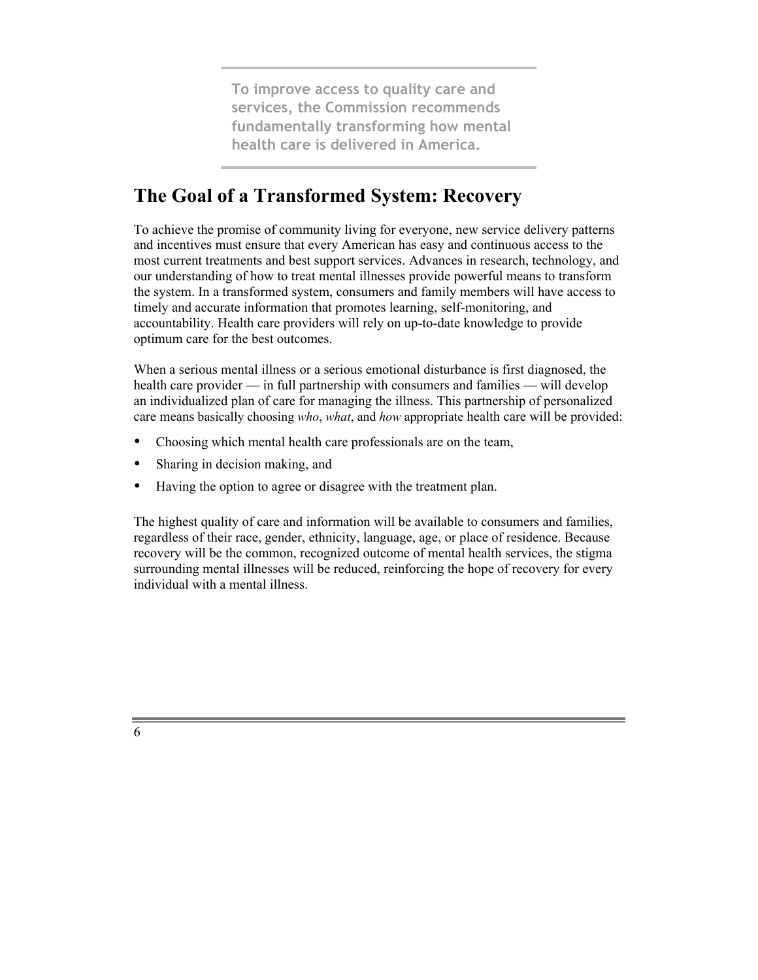**To improve access to quality care and services, the Commission recommends fundamentally transforming how mental health care is delivered in America.**

# **The Goal of a Transformed System: Recovery**

To achieve the promise of community living for everyone, new service delivery patterns and incentives must ensure that every American has easy and continuous access to the most current treatments and best support services. Advances in research, technology, and our understanding of how to treat mental illnesses provide powerful means to transform the system. In a transformed system, consumers and family members will have access to timely and accurate information that promotes learning, self-monitoring, and accountability. Health care providers will rely on up-to-date knowledge to provide optimum care for the best outcomes.

When a serious mental illness or a serious emotional disturbance is first diagnosed, the health care provider — in full partnership with consumers and families — will develop an individualized plan of care for managing the illness. This partnership of personalized care means basically choosing *who*, *what*, and *how* appropriate health care will be provided:

- Choosing which mental health care professionals are on the team,
- Sharing in decision making, and
- y Having the option to agree or disagree with the treatment plan.

The highest quality of care and information will be available to consumers and families, regardless of their race, gender, ethnicity, language, age, or place of residence. Because recovery will be the common, recognized outcome of mental health services, the stigma surrounding mental illnesses will be reduced, reinforcing the hope of recovery for every individual with a mental illness.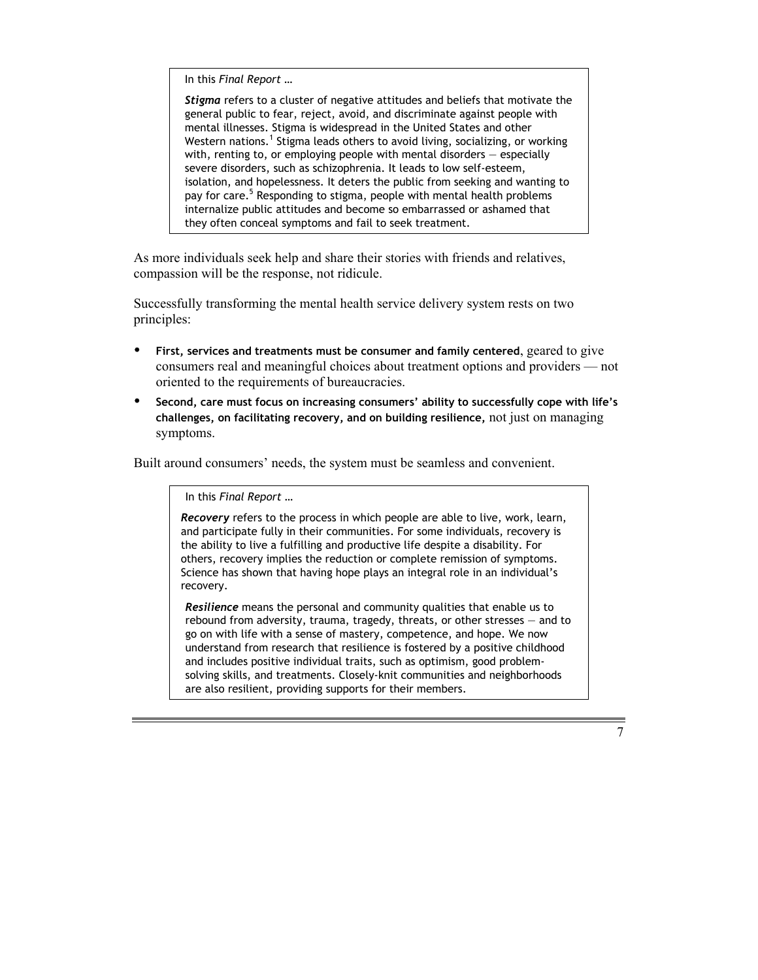In this *Final Report* …

*Stigma* refers to a cluster of negative attitudes and beliefs that motivate the general public to fear, reject, avoid, and discriminate against people with mental illnesses. Stigma is widespread in the United States and other Western nations.<sup>1</sup> Stigma leads others to avoid living, socializing, or working with, renting to, or employing people with mental disorders — especially severe disorders, such as schizophrenia. It leads to low self-esteem, isolation, and hopelessness. It deters the public from seeking and wanting to pay for care.<sup>5</sup> Responding to stigma, people with mental health problems internalize public attitudes and become so embarrassed or ashamed that they often conceal symptoms and fail to seek treatment.

As more individuals seek help and share their stories with friends and relatives, compassion will be the response, not ridicule.

Successfully transforming the mental health service delivery system rests on two principles:

- y **First, services and treatments must be consumer and family centered**, geared to give consumers real and meaningful choices about treatment options and providers — not oriented to the requirements of bureaucracies.
- y **Second, care must focus on increasing consumers' ability to successfully cope with life's challenges, on facilitating recovery, and on building resilience,** not just on managing symptoms.

Built around consumers' needs, the system must be seamless and convenient.

In this *Final Report* …

*Recovery* refers to the process in which people are able to live, work, learn, and participate fully in their communities. For some individuals, recovery is the ability to live a fulfilling and productive life despite a disability. For others, recovery implies the reduction or complete remission of symptoms. Science has shown that having hope plays an integral role in an individual's recovery.

*Resilience* means the personal and community qualities that enable us to rebound from adversity, trauma, tragedy, threats, or other stresses — and to go on with life with a sense of mastery, competence, and hope. We now understand from research that resilience is fostered by a positive childhood and includes positive individual traits, such as optimism, good problemsolving skills, and treatments. Closely-knit communities and neighborhoods are also resilient, providing supports for their members.

7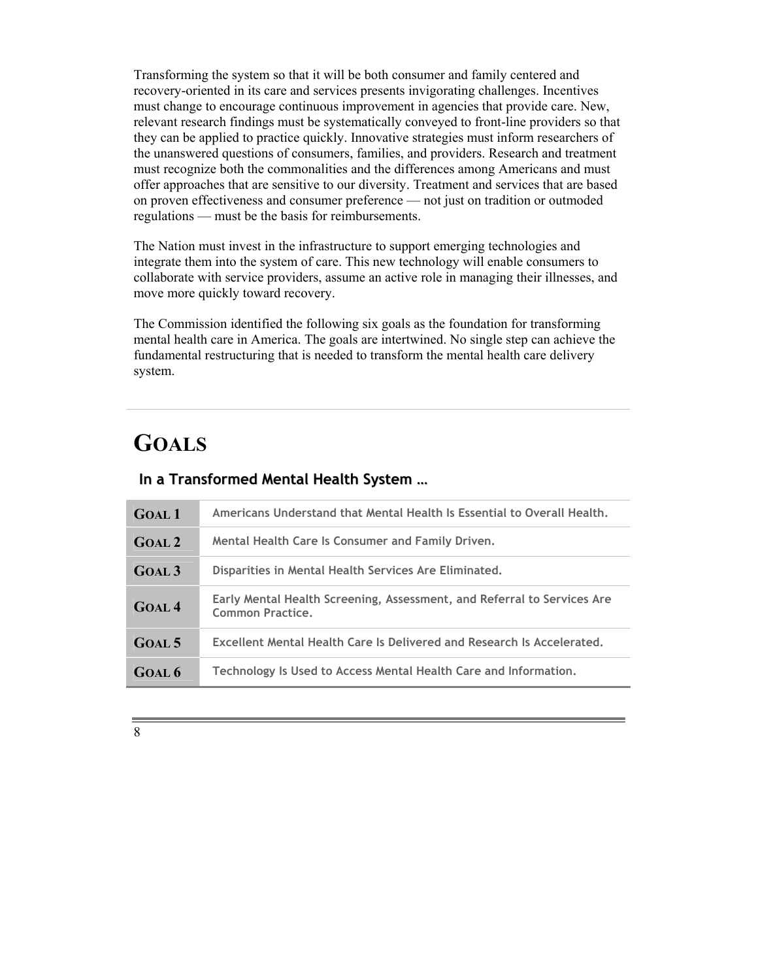Transforming the system so that it will be both consumer and family centered and recovery-oriented in its care and services presents invigorating challenges. Incentives must change to encourage continuous improvement in agencies that provide care. New, relevant research findings must be systematically conveyed to front-line providers so that they can be applied to practice quickly. Innovative strategies must inform researchers of the unanswered questions of consumers, families, and providers. Research and treatment must recognize both the commonalities and the differences among Americans and must offer approaches that are sensitive to our diversity. Treatment and services that are based on proven effectiveness and consumer preference — not just on tradition or outmoded regulations — must be the basis for reimbursements.

The Nation must invest in the infrastructure to support emerging technologies and integrate them into the system of care. This new technology will enable consumers to collaborate with service providers, assume an active role in managing their illnesses, and move more quickly toward recovery.

The Commission identified the following six goals as the foundation for transforming mental health care in America. The goals are intertwined. No single step can achieve the fundamental restructuring that is needed to transform the mental health care delivery system.

# **GOALS**

| <b>GOAL</b> 1     | Americans Understand that Mental Health Is Essential to Overall Health.                     |
|-------------------|---------------------------------------------------------------------------------------------|
| <b>GOAL 2</b>     | Mental Health Care Is Consumer and Family Driven.                                           |
| GOAL <sub>3</sub> | Disparities in Mental Health Services Are Eliminated.                                       |
| GOAL4             | Early Mental Health Screening, Assessment, and Referral to Services Are<br>Common Practice. |
| GOAL <sub>5</sub> | Excellent Mental Health Care Is Delivered and Research Is Accelerated.                      |
| GOAL 6            | Technology Is Used to Access Mental Health Care and Information.                            |

# **In a Transformed Mental Health System …**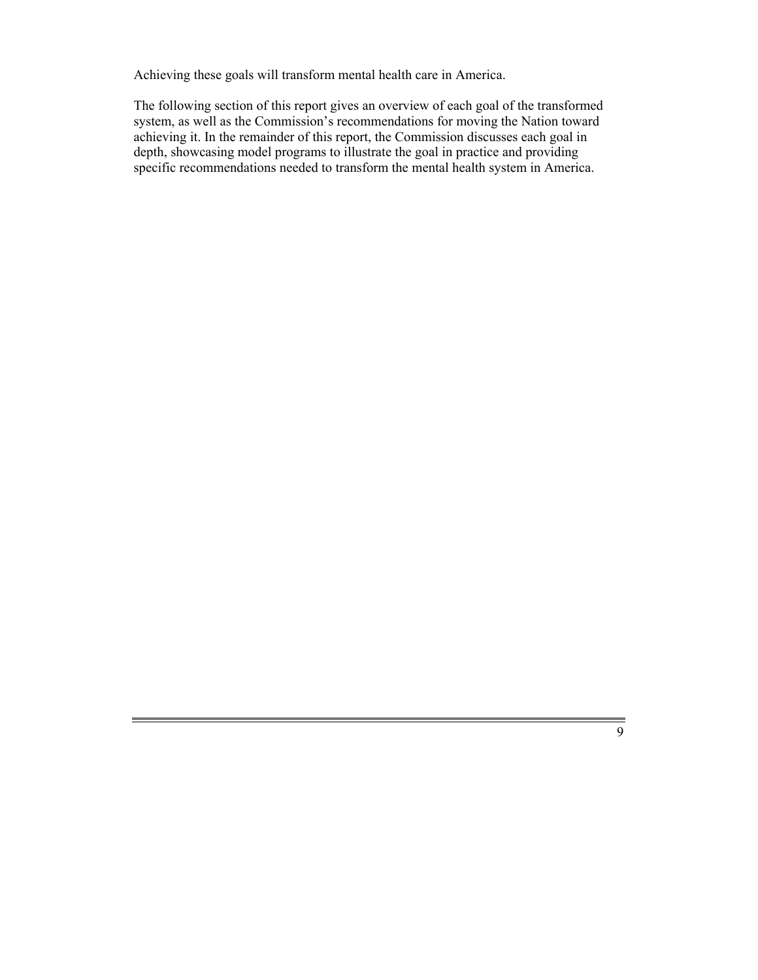Achieving these goals will transform mental health care in America.

The following section of this report gives an overview of each goal of the transformed system, as well as the Commission's recommendations for moving the Nation toward achieving it. In the remainder of this report, the Commission discusses each goal in depth, showcasing model programs to illustrate the goal in practice and providing specific recommendations needed to transform the mental health system in America.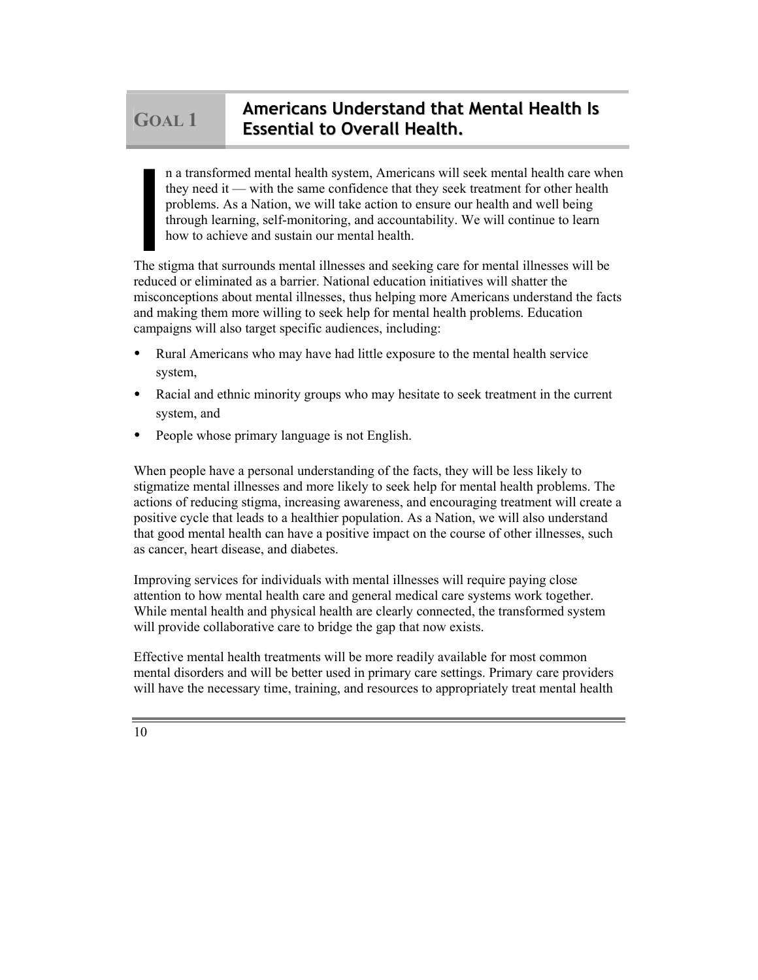# **GOAL 1 Americans Understand that Mental Health Is Essential to Overall Health.**

n a transformed mental health system, Americans will seek mental health care when they need it — with the same confidence that they seek treatment for other health problems. As a Nation, we will take action to ensure our health and well being through learning, self-monitoring, and accountability. We will continue to learn how to achieve and sustain our mental health. n a transformed mental health system, Americans will seek mental health care when they need it — with the same confidence that they seek treatment for other health problems. As a Nation, we will take action to ensure our h

reduced or eliminated as a barrier. National education initiatives will shatter the misconceptions about mental illnesses, thus helping more Americans understand the facts and making them more willing to seek help for mental health problems. Education campaigns will also target specific audiences, including:

- Rural Americans who may have had little exposure to the mental health service system,
- Racial and ethnic minority groups who may hesitate to seek treatment in the current system, and
- People whose primary language is not English.

When people have a personal understanding of the facts, they will be less likely to stigmatize mental illnesses and more likely to seek help for mental health problems. The actions of reducing stigma, increasing awareness, and encouraging treatment will create a positive cycle that leads to a healthier population. As a Nation, we will also understand that good mental health can have a positive impact on the course of other illnesses, such as cancer, heart disease, and diabetes.

Improving services for individuals with mental illnesses will require paying close attention to how mental health care and general medical care systems work together. While mental health and physical health are clearly connected, the transformed system will provide collaborative care to bridge the gap that now exists.

Effective mental health treatments will be more readily available for most common mental disorders and will be better used in primary care settings. Primary care providers will have the necessary time, training, and resources to appropriately treat mental health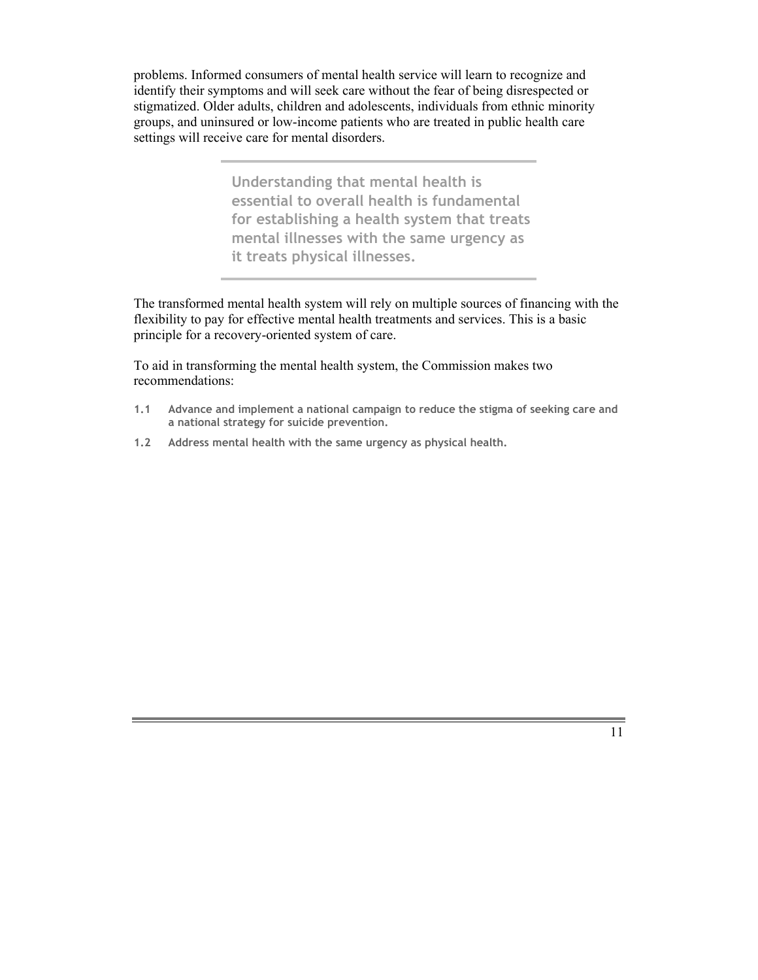problems. Informed consumers of mental health service will learn to recognize and identify their symptoms and will seek care without the fear of being disrespected or stigmatized. Older adults, children and adolescents, individuals from ethnic minority groups, and uninsured or low-income patients who are treated in public health care settings will receive care for mental disorders.

> **Understanding that mental health is essential to overall health is fundamental for establishing a health system that treats mental illnesses with the same urgency as it treats physical illnesses.**

The transformed mental health system will rely on multiple sources of financing with the flexibility to pay for effective mental health treatments and services. This is a basic principle for a recovery-oriented system of care.

To aid in transforming the mental health system, the Commission makes two recommendations:

- **1.1 Advance and implement a national campaign to reduce the stigma of seeking care and a national strategy for suicide prevention.**
- **1.2 Address mental health with the same urgency as physical health.**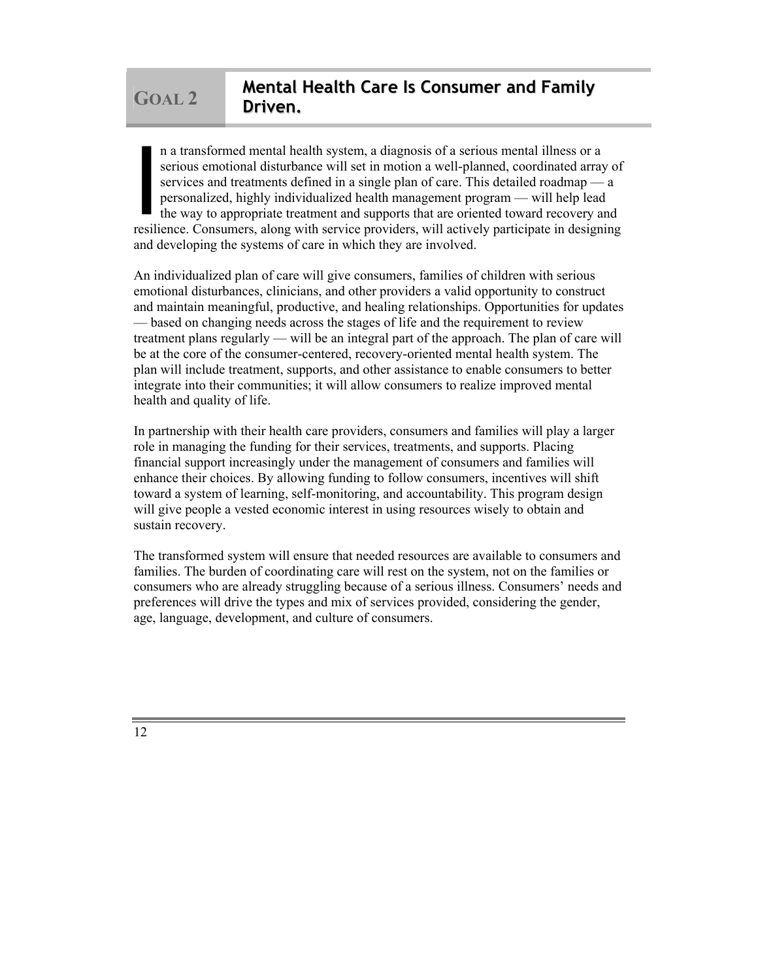# **GOAL 2 Mental Health Care Is Consumer and Family Driven.**

n a transformed mental health system, a diagnosis of a serious mental illness or a serious emotional disturbance will set in motion a well-planned, coordinated array of services and treatments defined in a single plan of care. This detailed roadmap — a personalized, highly individualized health management program — will help lead the way to appropriate treatment and supports that are oriented toward recovery and n a transformed mental health system, a diagnosis of a serious mental illness or a serious emotional disturbance will set in motion a well-planned, coordinated array of services and treatments defined in a single plan of c and developing the systems of care in which they are involved.

An individualized plan of care will give consumers, families of children with serious emotional disturbances, clinicians, and other providers a valid opportunity to construct and maintain meaningful, productive, and healing relationships. Opportunities for updates — based on changing needs across the stages of life and the requirement to review treatment plans regularly — will be an integral part of the approach. The plan of care will be at the core of the consumer-centered, recovery-oriented mental health system. The plan will include treatment, supports, and other assistance to enable consumers to better integrate into their communities; it will allow consumers to realize improved mental health and quality of life.

In partnership with their health care providers, consumers and families will play a larger role in managing the funding for their services, treatments, and supports. Placing financial support increasingly under the management of consumers and families will enhance their choices. By allowing funding to follow consumers, incentives will shift toward a system of learning, self-monitoring, and accountability. This program design will give people a vested economic interest in using resources wisely to obtain and sustain recovery.

The transformed system will ensure that needed resources are available to consumers and families. The burden of coordinating care will rest on the system, not on the families or consumers who are already struggling because of a serious illness. Consumers' needs and preferences will drive the types and mix of services provided, considering the gender, age, language, development, and culture of consumers.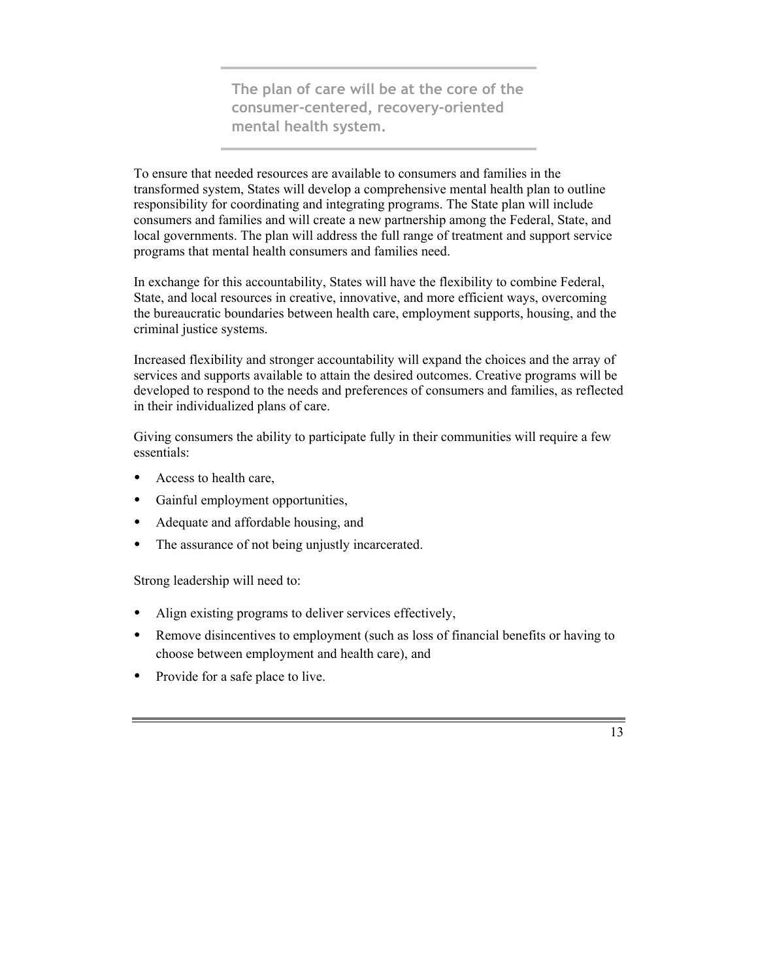**The plan of care will be at the core of the consumer-centered, recovery-oriented mental health system.** 

To ensure that needed resources are available to consumers and families in the transformed system, States will develop a comprehensive mental health plan to outline responsibility for coordinating and integrating programs. The State plan will include consumers and families and will create a new partnership among the Federal, State, and local governments. The plan will address the full range of treatment and support service programs that mental health consumers and families need.

In exchange for this accountability, States will have the flexibility to combine Federal, State, and local resources in creative, innovative, and more efficient ways, overcoming the bureaucratic boundaries between health care, employment supports, housing, and the criminal justice systems.

Increased flexibility and stronger accountability will expand the choices and the array of services and supports available to attain the desired outcomes. Creative programs will be developed to respond to the needs and preferences of consumers and families, as reflected in their individualized plans of care.

Giving consumers the ability to participate fully in their communities will require a few essentials:

- Access to health care,
- Gainful employment opportunities,
- Adequate and affordable housing, and
- The assurance of not being unjustly incarcerated.

Strong leadership will need to:

- Align existing programs to deliver services effectively,
- Remove disincentives to employment (such as loss of financial benefits or having to choose between employment and health care), and
- Provide for a safe place to live.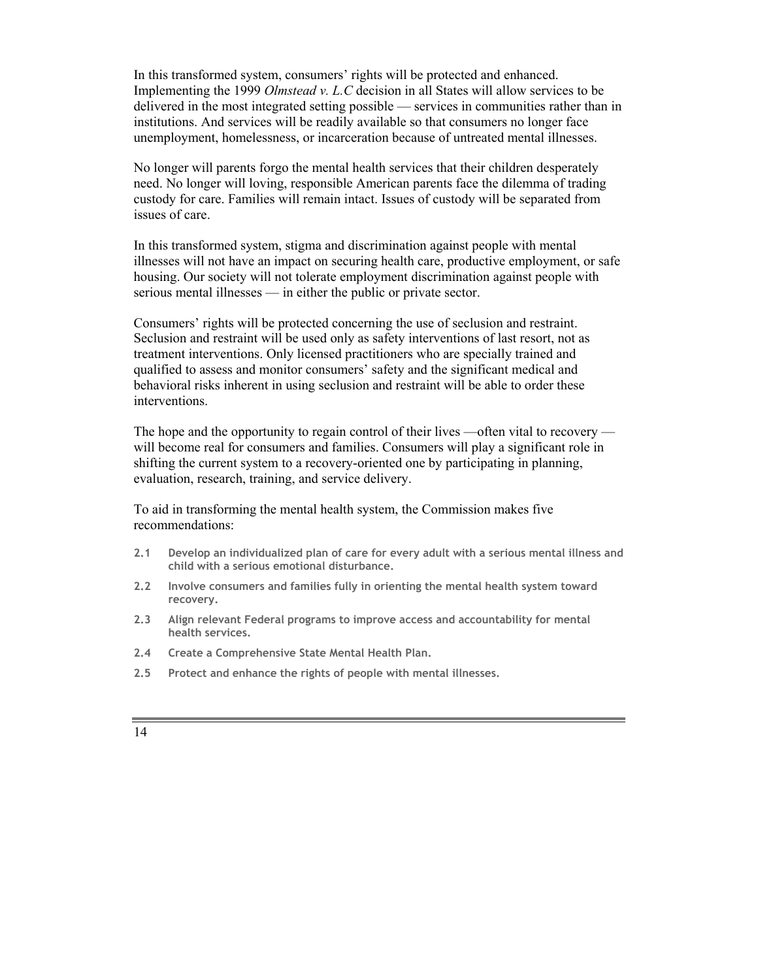In this transformed system, consumers' rights will be protected and enhanced. Implementing the 1999 *Olmstead v. L.C* decision in all States will allow services to be delivered in the most integrated setting possible — services in communities rather than in institutions. And services will be readily available so that consumers no longer face unemployment, homelessness, or incarceration because of untreated mental illnesses.

No longer will parents forgo the mental health services that their children desperately need. No longer will loving, responsible American parents face the dilemma of trading custody for care. Families will remain intact. Issues of custody will be separated from issues of care.

In this transformed system, stigma and discrimination against people with mental illnesses will not have an impact on securing health care, productive employment, or safe housing. Our society will not tolerate employment discrimination against people with serious mental illnesses — in either the public or private sector.

Consumers' rights will be protected concerning the use of seclusion and restraint. Seclusion and restraint will be used only as safety interventions of last resort, not as treatment interventions. Only licensed practitioners who are specially trained and qualified to assess and monitor consumers' safety and the significant medical and behavioral risks inherent in using seclusion and restraint will be able to order these interventions.

The hope and the opportunity to regain control of their lives —often vital to recovery will become real for consumers and families. Consumers will play a significant role in shifting the current system to a recovery-oriented one by participating in planning, evaluation, research, training, and service delivery.

To aid in transforming the mental health system, the Commission makes five recommendations:

- **2.1 Develop an individualized plan of care for every adult with a serious mental illness and child with a serious emotional disturbance.**
- **2.2 Involve consumers and families fully in orienting the mental health system toward recovery.**
- **2.3 Align relevant Federal programs to improve access and accountability for mental health services.**
- **2.4 Create a Comprehensive State Mental Health Plan.**
- **2.5 Protect and enhance the rights of people with mental illnesses.**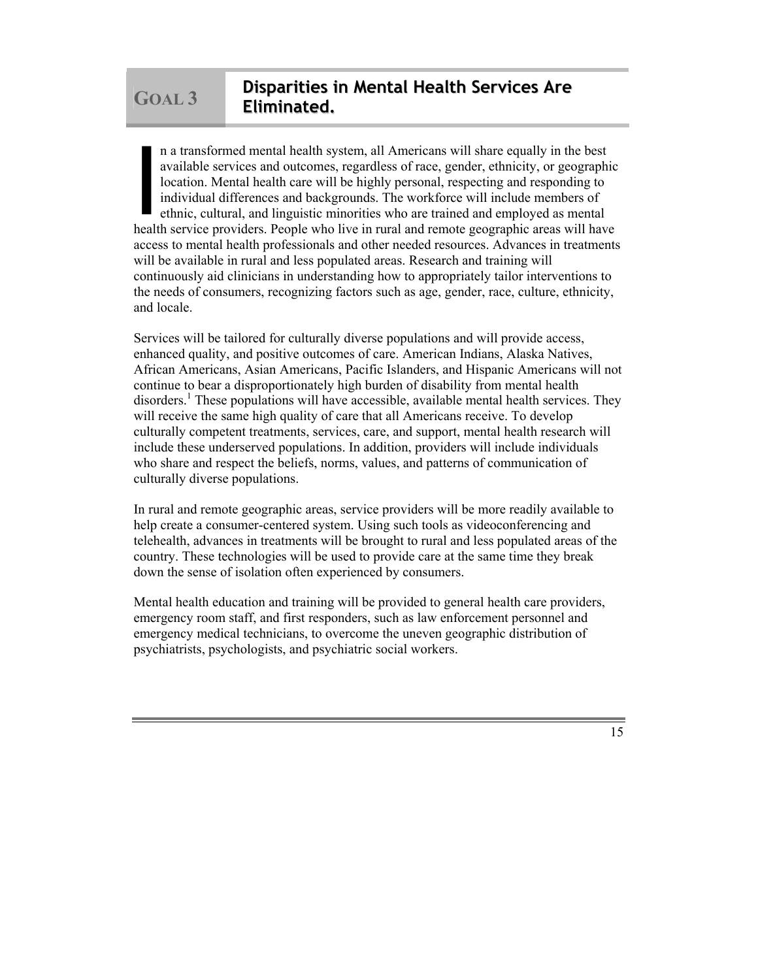# **GOAL 3 Disparities in Mental Health Services Are Eliminated.**

n a transformed mental health system, all Americans will share equally in the best available services and outcomes, regardless of race, gender, ethnicity, or geographic location. Mental health care will be highly personal, respecting and responding to individual differences and backgrounds. The workforce will include members of ethnic, cultural, and linguistic minorities who are trained and employed as mental n a transformed mental health system, all Americans will share equally in the best<br>available services and outcomes, regardless of race, gender, ethnicity, or geographic<br>location. Mental health care will be highly personal, access to mental health professionals and other needed resources. Advances in treatments will be available in rural and less populated areas. Research and training will continuously aid clinicians in understanding how to appropriately tailor interventions to the needs of consumers, recognizing factors such as age, gender, race, culture, ethnicity, and locale.

Services will be tailored for culturally diverse populations and will provide access, enhanced quality, and positive outcomes of care. American Indians, Alaska Natives, African Americans, Asian Americans, Pacific Islanders, and Hispanic Americans will not continue to bear a disproportionately high burden of disability from mental health disorders.<sup>1</sup> These populations will have accessible, available mental health services. They will receive the same high quality of care that all Americans receive. To develop culturally competent treatments, services, care, and support, mental health research will include these underserved populations. In addition, providers will include individuals who share and respect the beliefs, norms, values, and patterns of communication of culturally diverse populations.

In rural and remote geographic areas, service providers will be more readily available to help create a consumer-centered system. Using such tools as videoconferencing and telehealth, advances in treatments will be brought to rural and less populated areas of the country. These technologies will be used to provide care at the same time they break down the sense of isolation often experienced by consumers.

Mental health education and training will be provided to general health care providers, emergency room staff, and first responders, such as law enforcement personnel and emergency medical technicians, to overcome the uneven geographic distribution of psychiatrists, psychologists, and psychiatric social workers.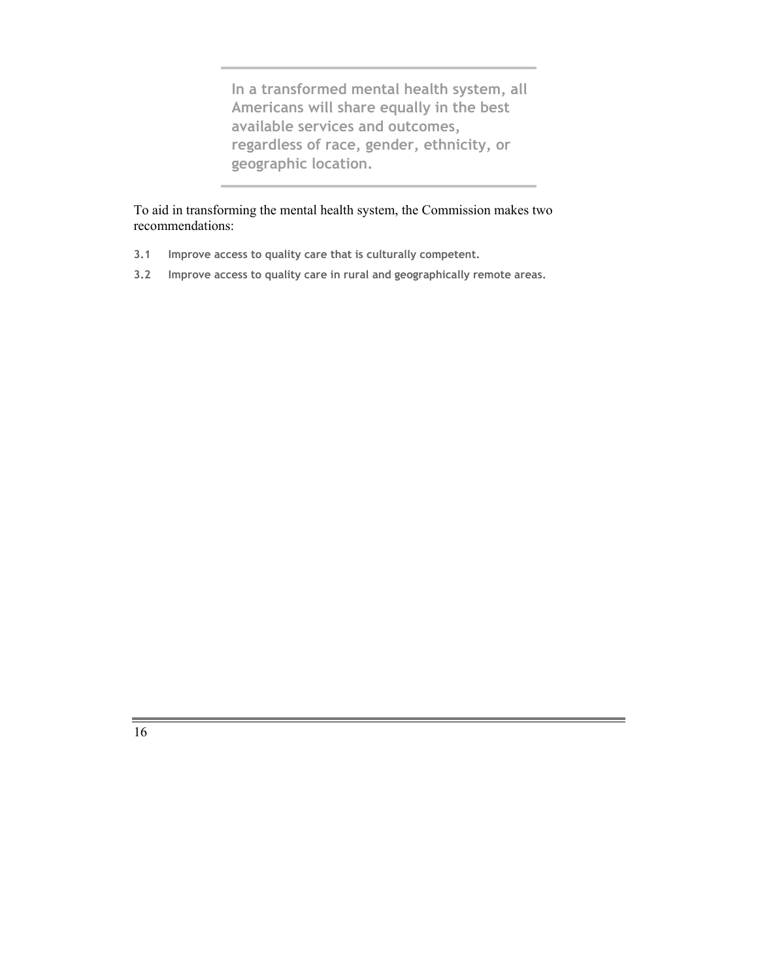**In a transformed mental health system, all Americans will share equally in the best available services and outcomes, regardless of race, gender, ethnicity, or geographic location.** 

To aid in transforming the mental health system, the Commission makes two recommendations:

- **3.1 Improve access to quality care that is culturally competent.**
- **3.2 Improve access to quality care in rural and geographically remote areas.**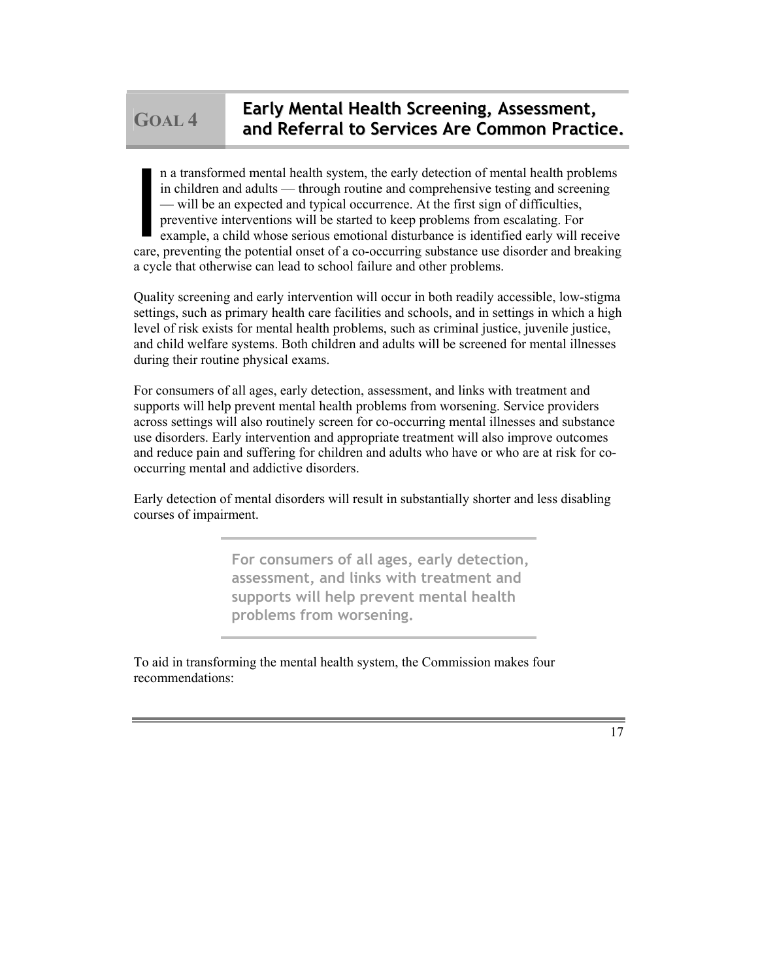n a transformed mental health system, the early detection of mental health problems in children and adults — through routine and comprehensive testing and screening — will be an expected and typical occurrence. At the first sign of difficulties, preventive interventions will be started to keep problems from escalating. For example, a child whose serious emotional disturbance is identified early will receive n a transformed mental health system, the early detection of mental health problems<br>in children and adults — through routine and comprehensive testing and screening<br>— will be an expected and typical occurrence. At the firs a cycle that otherwise can lead to school failure and other problems.

Quality screening and early intervention will occur in both readily accessible, low-stigma settings, such as primary health care facilities and schools, and in settings in which a high level of risk exists for mental health problems, such as criminal justice, juvenile justice, and child welfare systems. Both children and adults will be screened for mental illnesses during their routine physical exams.

For consumers of all ages, early detection, assessment, and links with treatment and supports will help prevent mental health problems from worsening. Service providers across settings will also routinely screen for co-occurring mental illnesses and substance use disorders. Early intervention and appropriate treatment will also improve outcomes and reduce pain and suffering for children and adults who have or who are at risk for cooccurring mental and addictive disorders.

Early detection of mental disorders will result in substantially shorter and less disabling courses of impairment.

> **For consumers of all ages, early detection, assessment, and links with treatment and supports will help prevent mental health problems from worsening.**

To aid in transforming the mental health system, the Commission makes four recommendations: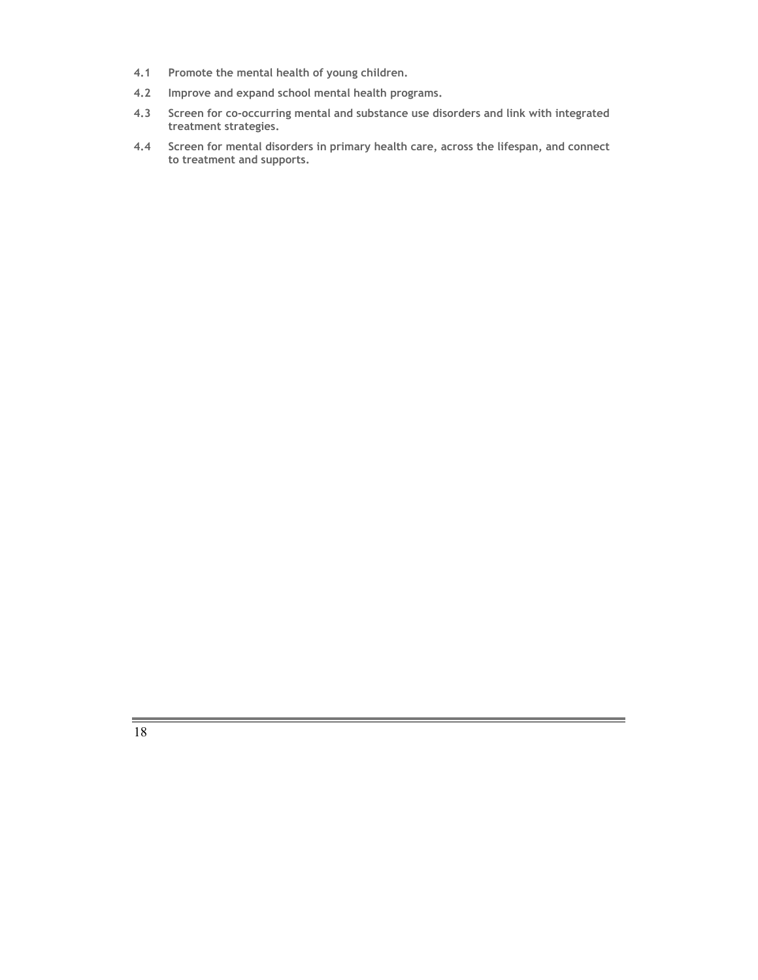- **4.1 Promote the mental health of young children.**
- **4.2 Improve and expand school mental health programs.**
- **4.3 Screen for co-occurring mental and substance use disorders and link with integrated treatment strategies.**
- **4.4 Screen for mental disorders in primary health care, across the lifespan, and connect to treatment and supports.**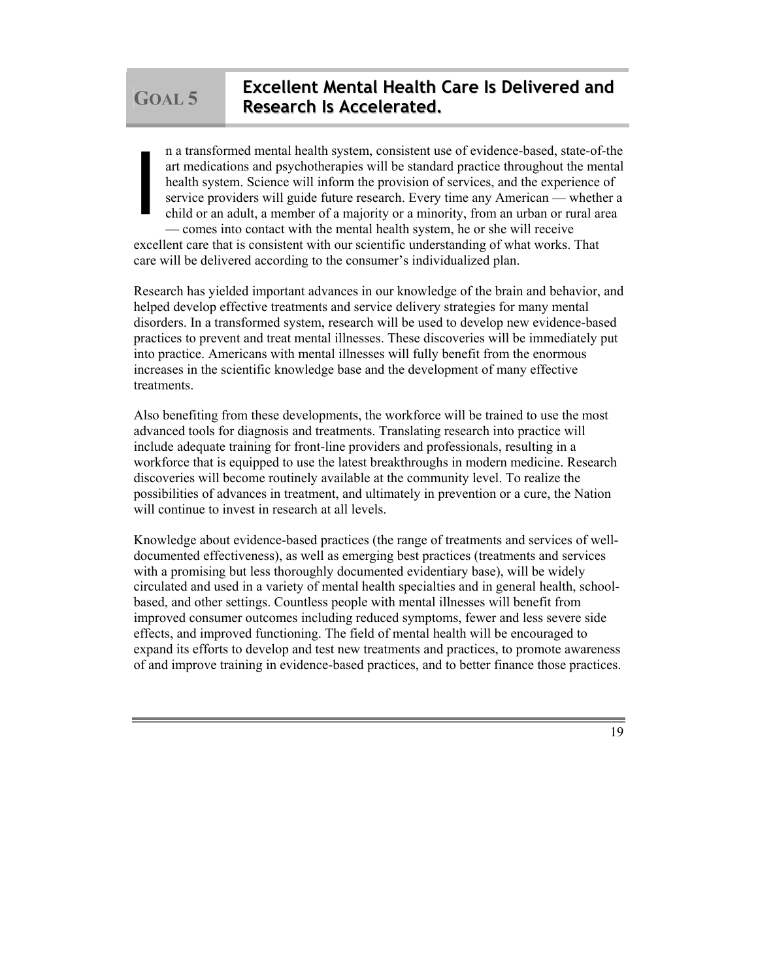# **GOAL 5 Excellent Mental Health Care Is Delivered and Research Is Accelerated.**

n a transformed mental health system, consistent use of evidence-based, state-of-the art medications and psychotherapies will be standard practice throughout the mental health system. Science will inform the provision of services, and the experience of service providers will guide future research. Every time any American — whether a child or an adult, a member of a majority or a minority, from an urban or rural area — comes into contact with the mental health system, he or she will receive excellent care that is consistent with our scientific understanding of what works. That care will be delivered according to the consumer's individualized plan. I

Research has yielded important advances in our knowledge of the brain and behavior, and helped develop effective treatments and service delivery strategies for many mental disorders. In a transformed system, research will be used to develop new evidence-based practices to prevent and treat mental illnesses. These discoveries will be immediately put into practice. Americans with mental illnesses will fully benefit from the enormous increases in the scientific knowledge base and the development of many effective treatments.

Also benefiting from these developments, the workforce will be trained to use the most advanced tools for diagnosis and treatments. Translating research into practice will include adequate training for front-line providers and professionals, resulting in a workforce that is equipped to use the latest breakthroughs in modern medicine. Research discoveries will become routinely available at the community level. To realize the possibilities of advances in treatment, and ultimately in prevention or a cure, the Nation will continue to invest in research at all levels.

Knowledge about evidence-based practices (the range of treatments and services of welldocumented effectiveness), as well as emerging best practices (treatments and services with a promising but less thoroughly documented evidentiary base), will be widely circulated and used in a variety of mental health specialties and in general health, schoolbased, and other settings. Countless people with mental illnesses will benefit from improved consumer outcomes including reduced symptoms, fewer and less severe side effects, and improved functioning. The field of mental health will be encouraged to expand its efforts to develop and test new treatments and practices, to promote awareness of and improve training in evidence-based practices, and to better finance those practices.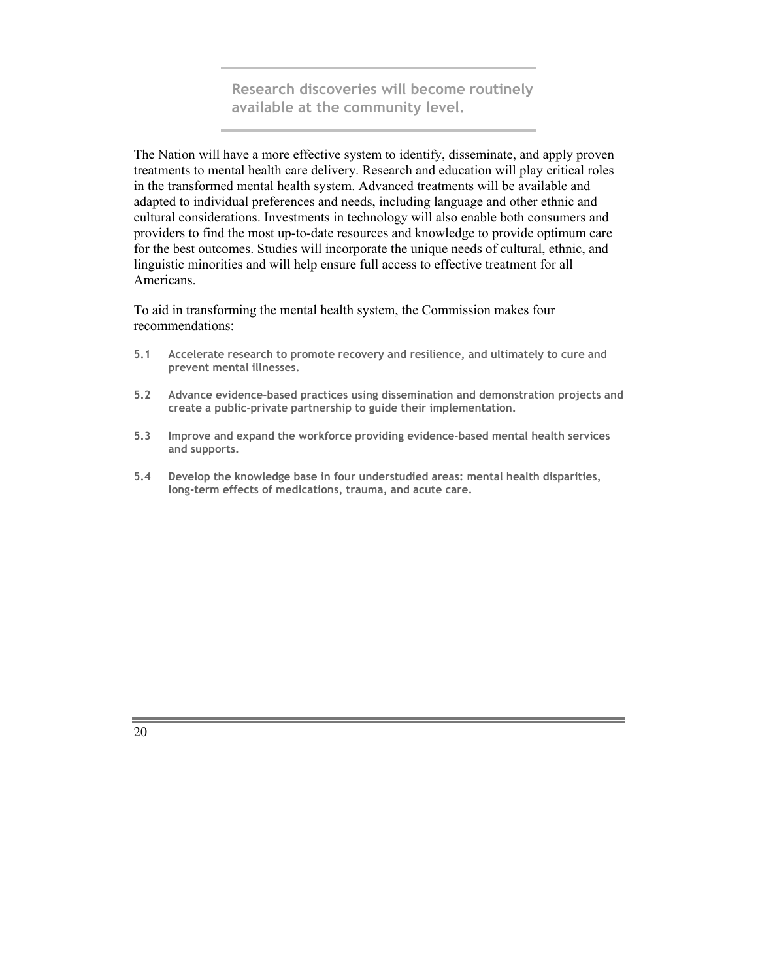**Research discoveries will become routinely available at the community level.** 

The Nation will have a more effective system to identify, disseminate, and apply proven treatments to mental health care delivery. Research and education will play critical roles in the transformed mental health system. Advanced treatments will be available and adapted to individual preferences and needs, including language and other ethnic and cultural considerations. Investments in technology will also enable both consumers and providers to find the most up-to-date resources and knowledge to provide optimum care for the best outcomes. Studies will incorporate the unique needs of cultural, ethnic, and linguistic minorities and will help ensure full access to effective treatment for all Americans.

To aid in transforming the mental health system, the Commission makes four recommendations:

- **5.1 Accelerate research to promote recovery and resilience, and ultimately to cure and prevent mental illnesses.**
- **5.2 Advance evidence-based practices using dissemination and demonstration projects and create a public-private partnership to guide their implementation.**
- **5.3 Improve and expand the workforce providing evidence-based mental health services and supports.**
- **5.4 Develop the knowledge base in four understudied areas: mental health disparities, long-term effects of medications, trauma, and acute care.**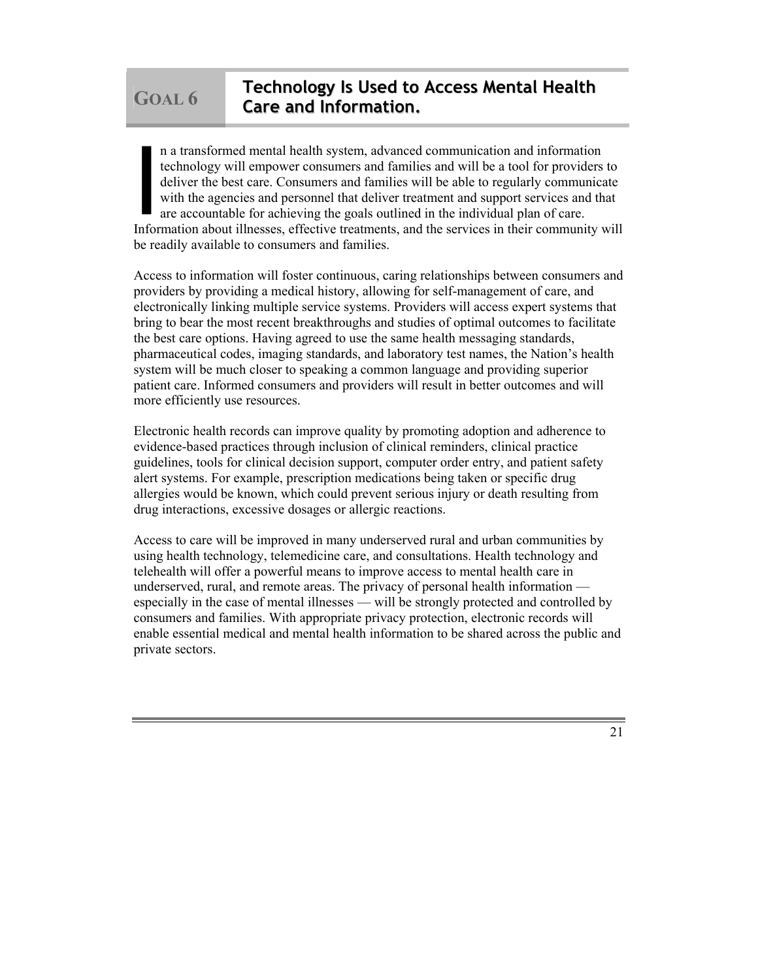# **GOAL 6 Technology Is Used to Access Mental Health Care and Information.**

n a transformed mental health system, advanced communication and information technology will empower consumers and families and will be a tool for providers to deliver the best care. Consumers and families will be able to regularly communicate with the agencies and personnel that deliver treatment and support services and that are accountable for achieving the goals outlined in the individual plan of care. In a transformed mental health system, advanced communication and information technology will empower consumers and families and will be a tool for providers to deliver the best care. Consumers and families will be able to be readily available to consumers and families.

Access to information will foster continuous, caring relationships between consumers and providers by providing a medical history, allowing for self-management of care, and electronically linking multiple service systems. Providers will access expert systems that bring to bear the most recent breakthroughs and studies of optimal outcomes to facilitate the best care options. Having agreed to use the same health messaging standards, pharmaceutical codes, imaging standards, and laboratory test names, the Nation's health system will be much closer to speaking a common language and providing superior patient care. Informed consumers and providers will result in better outcomes and will more efficiently use resources.

Electronic health records can improve quality by promoting adoption and adherence to evidence-based practices through inclusion of clinical reminders, clinical practice guidelines, tools for clinical decision support, computer order entry, and patient safety alert systems. For example, prescription medications being taken or specific drug allergies would be known, which could prevent serious injury or death resulting from drug interactions, excessive dosages or allergic reactions.

Access to care will be improved in many underserved rural and urban communities by using health technology, telemedicine care, and consultations. Health technology and telehealth will offer a powerful means to improve access to mental health care in underserved, rural, and remote areas. The privacy of personal health information especially in the case of mental illnesses — will be strongly protected and controlled by consumers and families. With appropriate privacy protection, electronic records will enable essential medical and mental health information to be shared across the public and private sectors.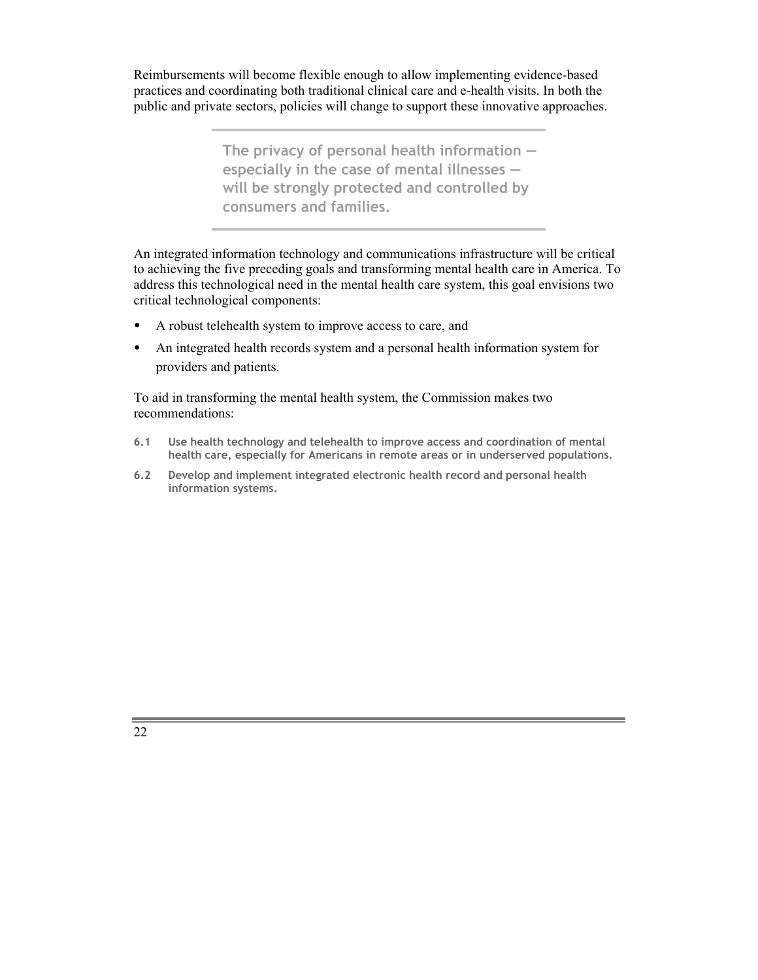Reimbursements will become flexible enough to allow implementing evidence-based practices and coordinating both traditional clinical care and e-health visits. In both the public and private sectors, policies will change to support these innovative approaches.

> **The privacy of personal health information especially in the case of mental illnesses will be strongly protected and controlled by consumers and families.**

An integrated information technology and communications infrastructure will be critical to achieving the five preceding goals and transforming mental health care in America. To address this technological need in the mental health care system, this goal envisions two critical technological components:

- A robust telehealth system to improve access to care, and
- An integrated health records system and a personal health information system for providers and patients.

To aid in transforming the mental health system, the Commission makes two recommendations:

- **6.1 Use health technology and telehealth to improve access and coordination of mental health care, especially for Americans in remote areas or in underserved populations.**
- **6.2 Develop and implement integrated electronic health record and personal health information systems.**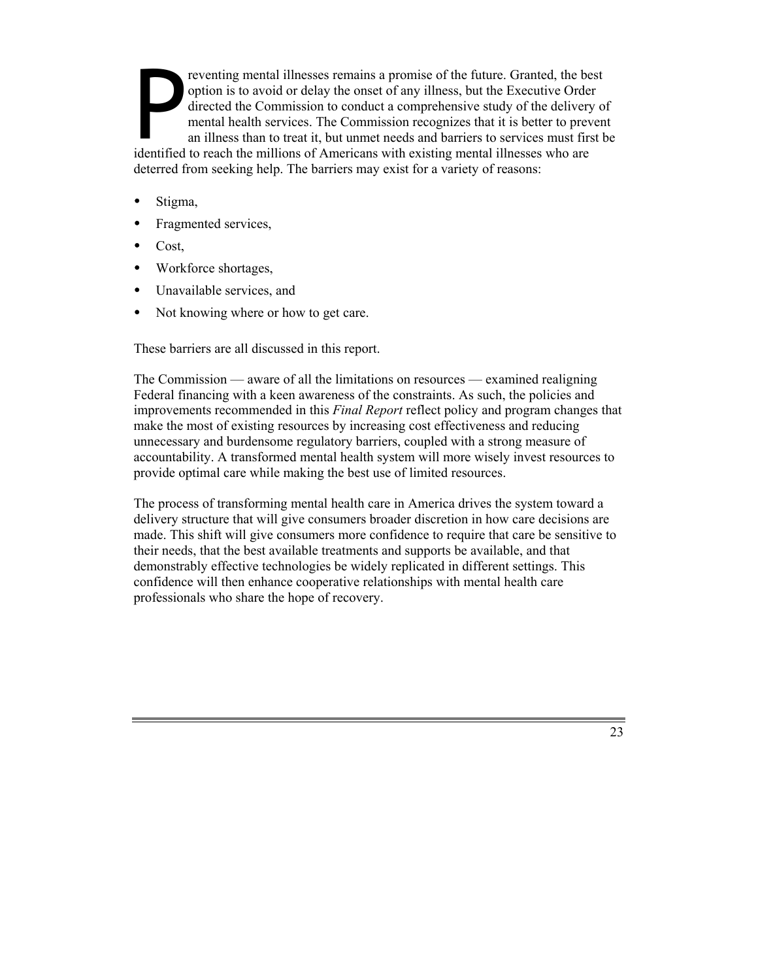reventing mental illnesses remains a promise of the future. Granted, the best option is to avoid or delay the onset of any illness, but the Executive Order directed the Commission to conduct a comprehensive study of the delivery of mental health services. The Commission recognizes that it is better to prevent an illness than to treat it, but unmet needs and barriers to services must first be From the millions of the future. Granted, the beat of the millions of the millions of the future. Granted the Commission to conduct a comprehensive study of the delivery mental health services. The Commission recognizes th deterred from seeking help. The barriers may exist for a variety of reasons:

- Stigma,
- Fragmented services,
- $\bullet$  Cost,
- Workforce shortages,
- Unavailable services, and
- Not knowing where or how to get care.

These barriers are all discussed in this report.

The Commission — aware of all the limitations on resources — examined realigning Federal financing with a keen awareness of the constraints. As such, the policies and improvements recommended in this *Final Report* reflect policy and program changes that make the most of existing resources by increasing cost effectiveness and reducing unnecessary and burdensome regulatory barriers, coupled with a strong measure of accountability. A transformed mental health system will more wisely invest resources to provide optimal care while making the best use of limited resources.

The process of transforming mental health care in America drives the system toward a delivery structure that will give consumers broader discretion in how care decisions are made. This shift will give consumers more confidence to require that care be sensitive to their needs, that the best available treatments and supports be available, and that demonstrably effective technologies be widely replicated in different settings. This confidence will then enhance cooperative relationships with mental health care professionals who share the hope of recovery.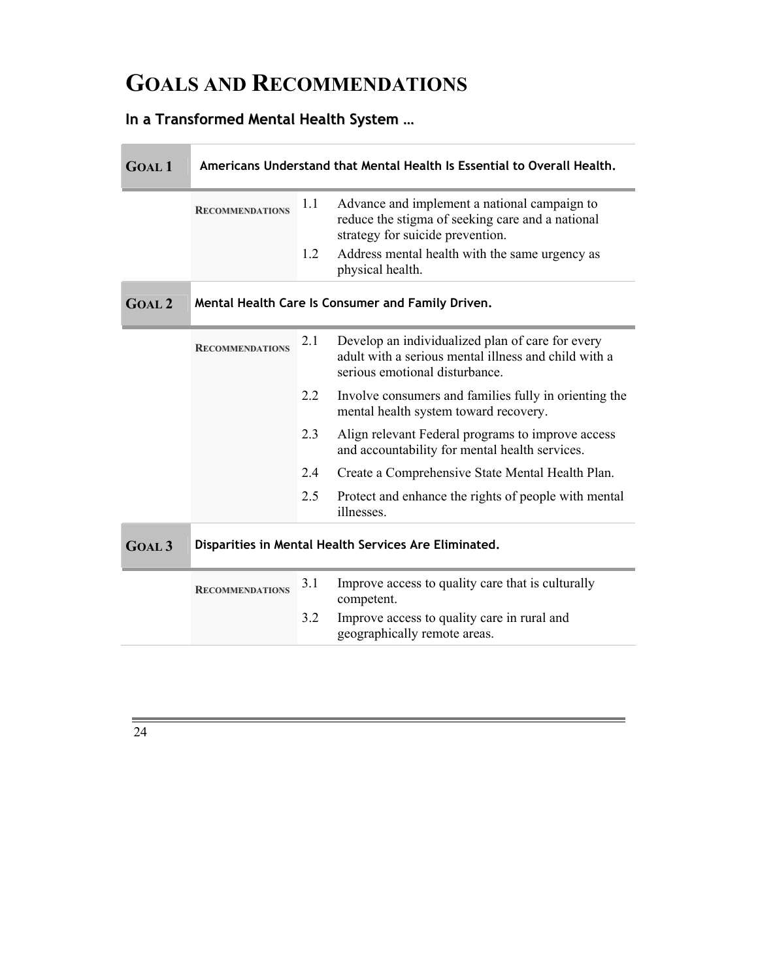# **GOALS AND RECOMMENDATIONS**

# **In a Transformed Mental Health System …**

| GOAL <sub>1</sub> | Americans Understand that Mental Health Is Essential to Overall Health. |     |                                                                                                                                            |
|-------------------|-------------------------------------------------------------------------|-----|--------------------------------------------------------------------------------------------------------------------------------------------|
|                   | <b>RECOMMENDATIONS</b>                                                  | 1.1 | Advance and implement a national campaign to<br>reduce the stigma of seeking care and a national<br>strategy for suicide prevention.       |
|                   |                                                                         | 1.2 | Address mental health with the same urgency as<br>physical health.                                                                         |
| <b>GOAL 2</b>     | Mental Health Care Is Consumer and Family Driven.                       |     |                                                                                                                                            |
|                   | <b>RECOMMENDATIONS</b>                                                  | 2.1 | Develop an individualized plan of care for every<br>adult with a serious mental illness and child with a<br>serious emotional disturbance. |
|                   |                                                                         | 2.2 | Involve consumers and families fully in orienting the<br>mental health system toward recovery.                                             |
|                   |                                                                         | 2.3 | Align relevant Federal programs to improve access<br>and accountability for mental health services.                                        |
|                   |                                                                         | 24  | Create a Comprehensive State Mental Health Plan.                                                                                           |
|                   |                                                                         | 2.5 | Protect and enhance the rights of people with mental<br>illnesses.                                                                         |
| <b>GOAL3</b>      | Disparities in Mental Health Services Are Eliminated.                   |     |                                                                                                                                            |
|                   | <b>RECOMMENDATIONS</b>                                                  | 3.1 | Improve access to quality care that is culturally<br>competent.                                                                            |
|                   |                                                                         | 3.2 | Improve access to quality care in rural and<br>geographically remote areas.                                                                |

÷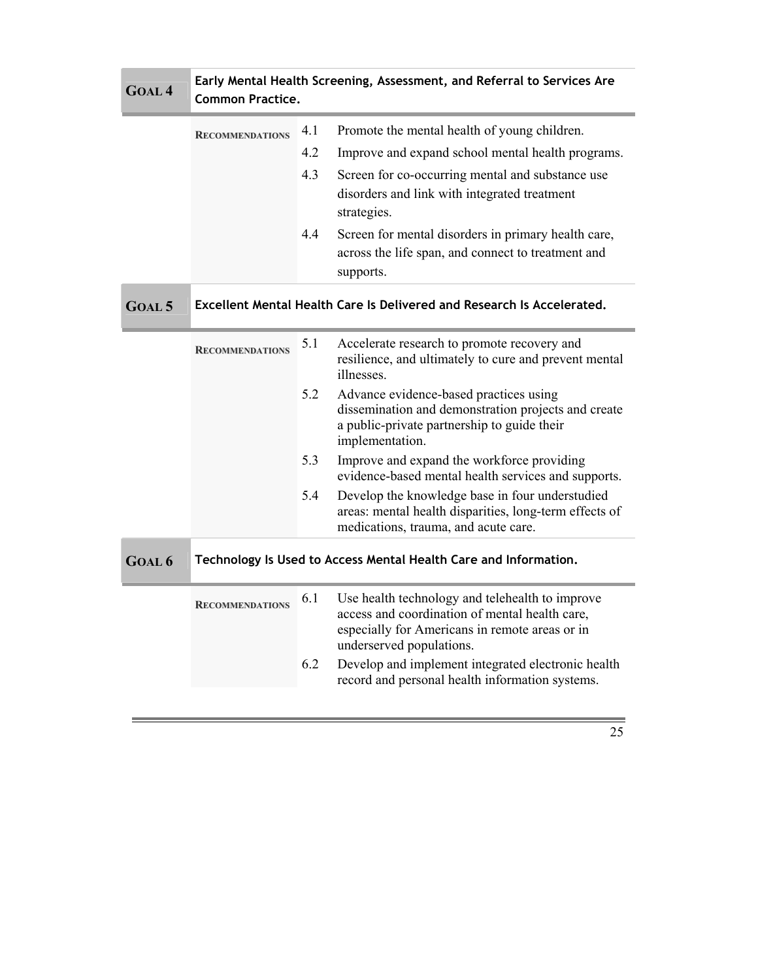| GOAL <sub>4</sub> | Early Mental Health Screening, Assessment, and Referral to Services Are<br><b>Common Practice.</b> |     |                                                                                                                                                                                 |
|-------------------|----------------------------------------------------------------------------------------------------|-----|---------------------------------------------------------------------------------------------------------------------------------------------------------------------------------|
|                   | <b>RECOMMENDATIONS</b>                                                                             | 4.1 | Promote the mental health of young children.                                                                                                                                    |
|                   |                                                                                                    | 4.2 | Improve and expand school mental health programs.                                                                                                                               |
|                   |                                                                                                    | 4.3 | Screen for co-occurring mental and substance use<br>disorders and link with integrated treatment<br>strategies.                                                                 |
|                   |                                                                                                    | 4.4 | Screen for mental disorders in primary health care,<br>across the life span, and connect to treatment and<br>supports.                                                          |
| GOAL <sub>5</sub> | Excellent Mental Health Care Is Delivered and Research Is Accelerated.                             |     |                                                                                                                                                                                 |
|                   | <b>RECOMMENDATIONS</b>                                                                             | 5.1 | Accelerate research to promote recovery and<br>resilience, and ultimately to cure and prevent mental<br>illnesses.                                                              |
|                   |                                                                                                    | 5.2 | Advance evidence-based practices using<br>dissemination and demonstration projects and create<br>a public-private partnership to guide their<br>implementation.                 |
|                   |                                                                                                    | 5.3 | Improve and expand the workforce providing<br>evidence-based mental health services and supports.                                                                               |
|                   |                                                                                                    | 5.4 | Develop the knowledge base in four understudied<br>areas: mental health disparities, long-term effects of<br>medications, trauma, and acute care.                               |
| GOAL <sub>6</sub> | Technology Is Used to Access Mental Health Care and Information.                                   |     |                                                                                                                                                                                 |
|                   | <b>RECOMMENDATIONS</b>                                                                             | 6.1 | Use health technology and telehealth to improve<br>access and coordination of mental health care,<br>especially for Americans in remote areas or in<br>underserved populations. |
|                   |                                                                                                    | 6.2 | Develop and implement integrated electronic health<br>record and personal health information systems.                                                                           |
|                   |                                                                                                    |     |                                                                                                                                                                                 |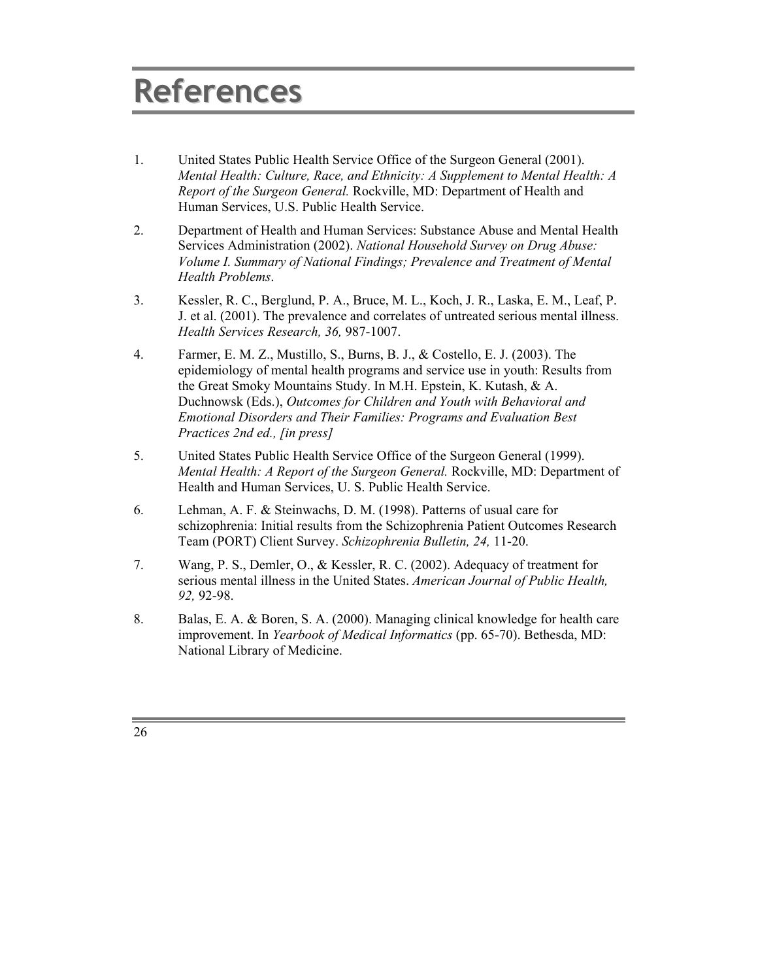# **References**

- 1. United States Public Health Service Office of the Surgeon General (2001). *Mental Health: Culture, Race, and Ethnicity: A Supplement to Mental Health: A Report of the Surgeon General.* Rockville, MD: Department of Health and Human Services, U.S. Public Health Service.
- 2. Department of Health and Human Services: Substance Abuse and Mental Health Services Administration (2002). *National Household Survey on Drug Abuse: Volume I. Summary of National Findings; Prevalence and Treatment of Mental Health Problems*.
- 3. Kessler, R. C., Berglund, P. A., Bruce, M. L., Koch, J. R., Laska, E. M., Leaf, P. J. et al. (2001). The prevalence and correlates of untreated serious mental illness. *Health Services Research, 36,* 987-1007.
- 4. Farmer, E. M. Z., Mustillo, S., Burns, B. J., & Costello, E. J. (2003). The epidemiology of mental health programs and service use in youth: Results from the Great Smoky Mountains Study. In M.H. Epstein, K. Kutash, & A. Duchnowsk (Eds.), *Outcomes for Children and Youth with Behavioral and Emotional Disorders and Their Families: Programs and Evaluation Best Practices 2nd ed., [in press]*
- 5. United States Public Health Service Office of the Surgeon General (1999). *Mental Health: A Report of the Surgeon General.* Rockville, MD: Department of Health and Human Services, U. S. Public Health Service.
- 6. Lehman, A. F. & Steinwachs, D. M. (1998). Patterns of usual care for schizophrenia: Initial results from the Schizophrenia Patient Outcomes Research Team (PORT) Client Survey. *Schizophrenia Bulletin, 24,* 11-20.
- 7. Wang, P. S., Demler, O., & Kessler, R. C. (2002). Adequacy of treatment for serious mental illness in the United States. *American Journal of Public Health, 92,* 92-98.
- 8. Balas, E. A. & Boren, S. A. (2000). Managing clinical knowledge for health care improvement. In *Yearbook of Medical Informatics* (pp. 65-70). Bethesda, MD: National Library of Medicine.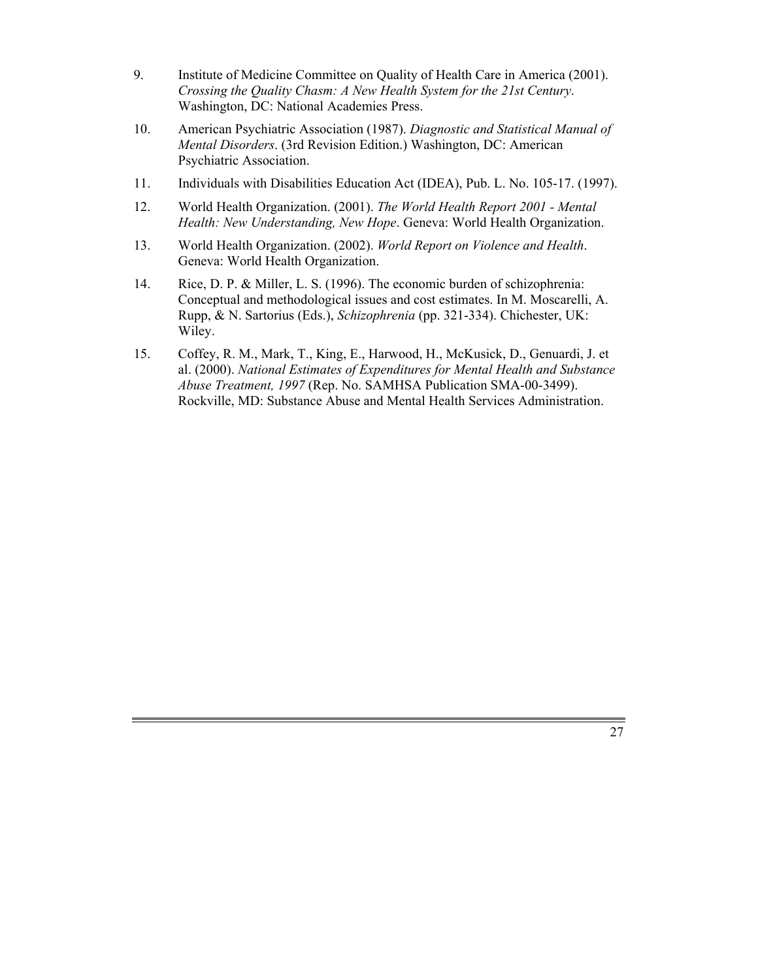- 9. Institute of Medicine Committee on Quality of Health Care in America (2001). *Crossing the Quality Chasm: A New Health System for the 21st Century*. Washington, DC: National Academies Press.
- 10. American Psychiatric Association (1987). *Diagnostic and Statistical Manual of Mental Disorders*. (3rd Revision Edition.) Washington, DC: American Psychiatric Association.
- 11. Individuals with Disabilities Education Act (IDEA), Pub. L. No. 105-17. (1997).
- 12. World Health Organization. (2001). *The World Health Report 2001 Mental Health: New Understanding, New Hope*. Geneva: World Health Organization.
- 13. World Health Organization. (2002). *World Report on Violence and Health*. Geneva: World Health Organization.
- 14. Rice, D. P. & Miller, L. S. (1996). The economic burden of schizophrenia: Conceptual and methodological issues and cost estimates. In M. Moscarelli, A. Rupp, & N. Sartorius (Eds.), *Schizophrenia* (pp. 321-334). Chichester, UK: Wiley.
- 15. Coffey, R. M., Mark, T., King, E., Harwood, H., McKusick, D., Genuardi, J. et al. (2000). *National Estimates of Expenditures for Mental Health and Substance Abuse Treatment, 1997* (Rep. No. SAMHSA Publication SMA-00-3499). Rockville, MD: Substance Abuse and Mental Health Services Administration.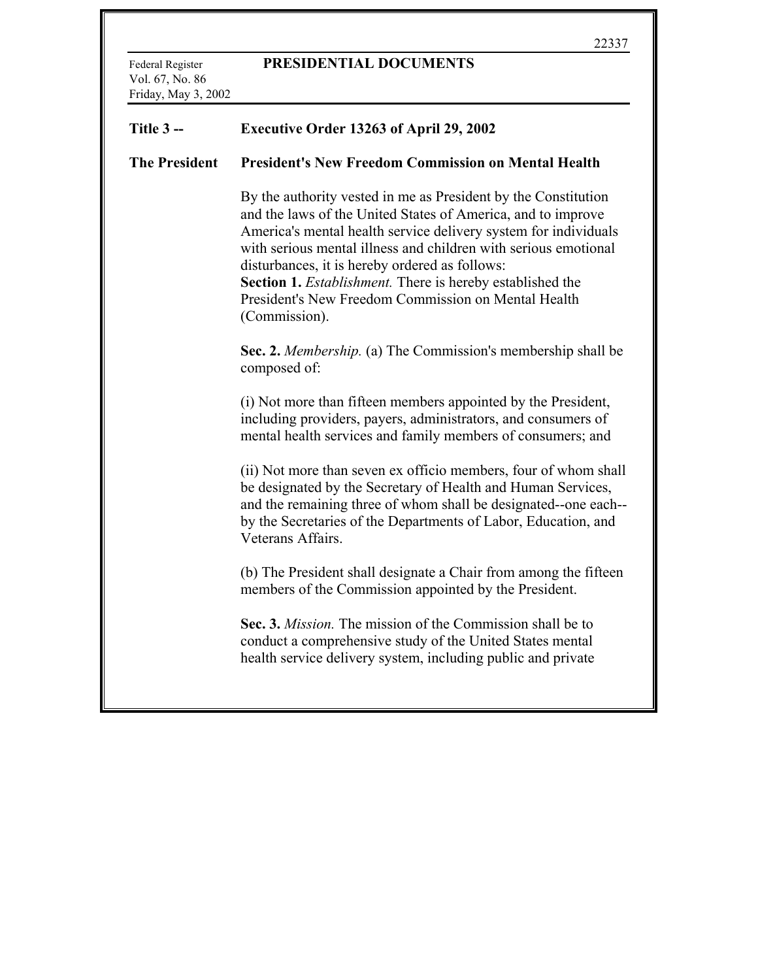# Federal Register **PRESIDENTIAL DOCUMENTS**

Federal Register<br>Vol. 67, No. 86 Friday, May 3, 2002

| Title $3 -$          | Executive Order 13263 of April 29, 2002                                                                                                                                                                                                                                                                                                                                                                                                                                    |  |  |
|----------------------|----------------------------------------------------------------------------------------------------------------------------------------------------------------------------------------------------------------------------------------------------------------------------------------------------------------------------------------------------------------------------------------------------------------------------------------------------------------------------|--|--|
| <b>The President</b> | <b>President's New Freedom Commission on Mental Health</b>                                                                                                                                                                                                                                                                                                                                                                                                                 |  |  |
|                      | By the authority vested in me as President by the Constitution<br>and the laws of the United States of America, and to improve<br>America's mental health service delivery system for individuals<br>with serious mental illness and children with serious emotional<br>disturbances, it is hereby ordered as follows:<br><b>Section 1.</b> <i>Establishment</i> . There is hereby established the<br>President's New Freedom Commission on Mental Health<br>(Commission). |  |  |
|                      | Sec. 2. <i>Membership.</i> (a) The Commission's membership shall be<br>composed of:                                                                                                                                                                                                                                                                                                                                                                                        |  |  |
|                      | (i) Not more than fifteen members appointed by the President,<br>including providers, payers, administrators, and consumers of<br>mental health services and family members of consumers; and                                                                                                                                                                                                                                                                              |  |  |
|                      | (ii) Not more than seven ex officio members, four of whom shall<br>be designated by the Secretary of Health and Human Services,<br>and the remaining three of whom shall be designated--one each--<br>by the Secretaries of the Departments of Labor, Education, and<br>Veterans Affairs.                                                                                                                                                                                  |  |  |
|                      | (b) The President shall designate a Chair from among the fifteen<br>members of the Commission appointed by the President.                                                                                                                                                                                                                                                                                                                                                  |  |  |
|                      | Sec. 3. <i>Mission</i> . The mission of the Commission shall be to<br>conduct a comprehensive study of the United States mental<br>health service delivery system, including public and private                                                                                                                                                                                                                                                                            |  |  |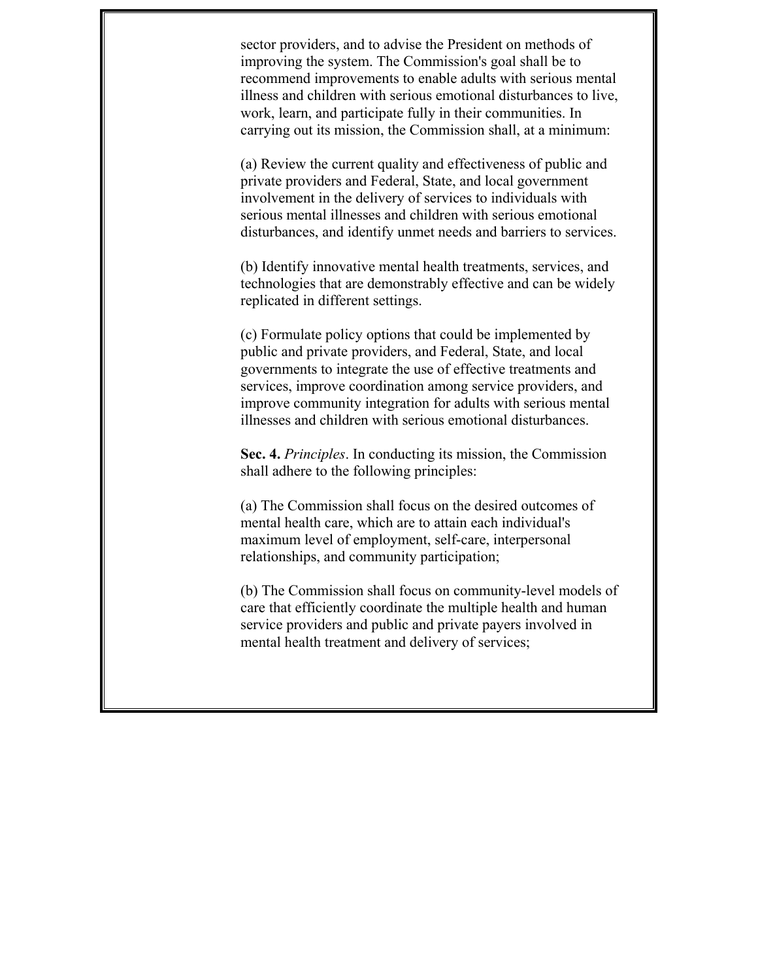sector providers, and to advise the President on methods of improving the system. The Commission's goal shall be to recommend improvements to enable adults with serious mental illness and children with serious emotional disturbances to live, work, learn, and participate fully in their communities. In carrying out its mission, the Commission shall, at a minimum:

(a) Review the current quality and effectiveness of public and private providers and Federal, State, and local government involvement in the delivery of services to individuals with serious mental illnesses and children with serious emotional disturbances, and identify unmet needs and barriers to services.

(b) Identify innovative mental health treatments, services, and technologies that are demonstrably effective and can be widely replicated in different settings.

(c) Formulate policy options that could be implemented by public and private providers, and Federal, State, and local governments to integrate the use of effective treatments and services, improve coordination among service providers, and improve community integration for adults with serious mental illnesses and children with serious emotional disturbances.

**Sec. 4.** *Principles*. In conducting its mission, the Commission shall adhere to the following principles:

(a) The Commission shall focus on the desired outcomes of mental health care, which are to attain each individual's maximum level of employment, self-care, interpersonal relationships, and community participation;

(b) The Commission shall focus on community-level models of care that efficiently coordinate the multiple health and human service providers and public and private payers involved in mental health treatment and delivery of services;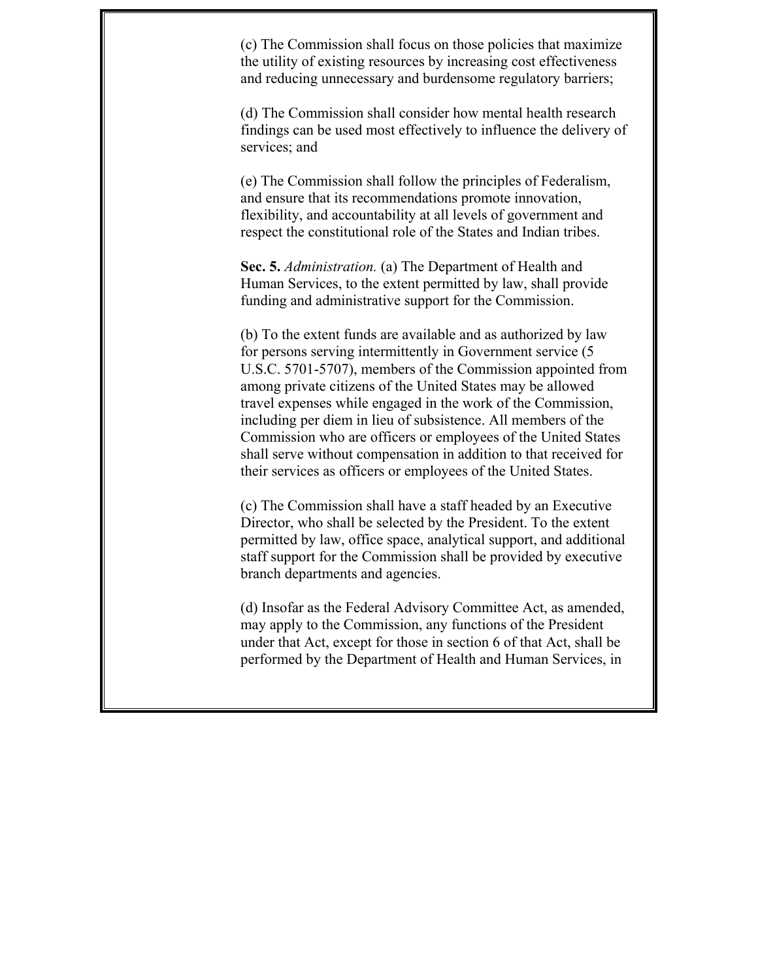(c) The Commission shall focus on those policies that maximize the utility of existing resources by increasing cost effectiveness and reducing unnecessary and burdensome regulatory barriers;

(d) The Commission shall consider how mental health research findings can be used most effectively to influence the delivery of services; and

(e) The Commission shall follow the principles of Federalism, and ensure that its recommendations promote innovation, flexibility, and accountability at all levels of government and respect the constitutional role of the States and Indian tribes.

**Sec. 5.** *Administration.* (a) The Department of Health and Human Services, to the extent permitted by law, shall provide funding and administrative support for the Commission.

(b) To the extent funds are available and as authorized by law for persons serving intermittently in Government service (5 U.S.C. 5701-5707), members of the Commission appointed from among private citizens of the United States may be allowed travel expenses while engaged in the work of the Commission, including per diem in lieu of subsistence. All members of the Commission who are officers or employees of the United States shall serve without compensation in addition to that received for their services as officers or employees of the United States.

(c) The Commission shall have a staff headed by an Executive Director, who shall be selected by the President. To the extent permitted by law, office space, analytical support, and additional staff support for the Commission shall be provided by executive branch departments and agencies.

(d) Insofar as the Federal Advisory Committee Act, as amended, may apply to the Commission, any functions of the President under that Act, except for those in section 6 of that Act, shall be performed by the Department of Health and Human Services, in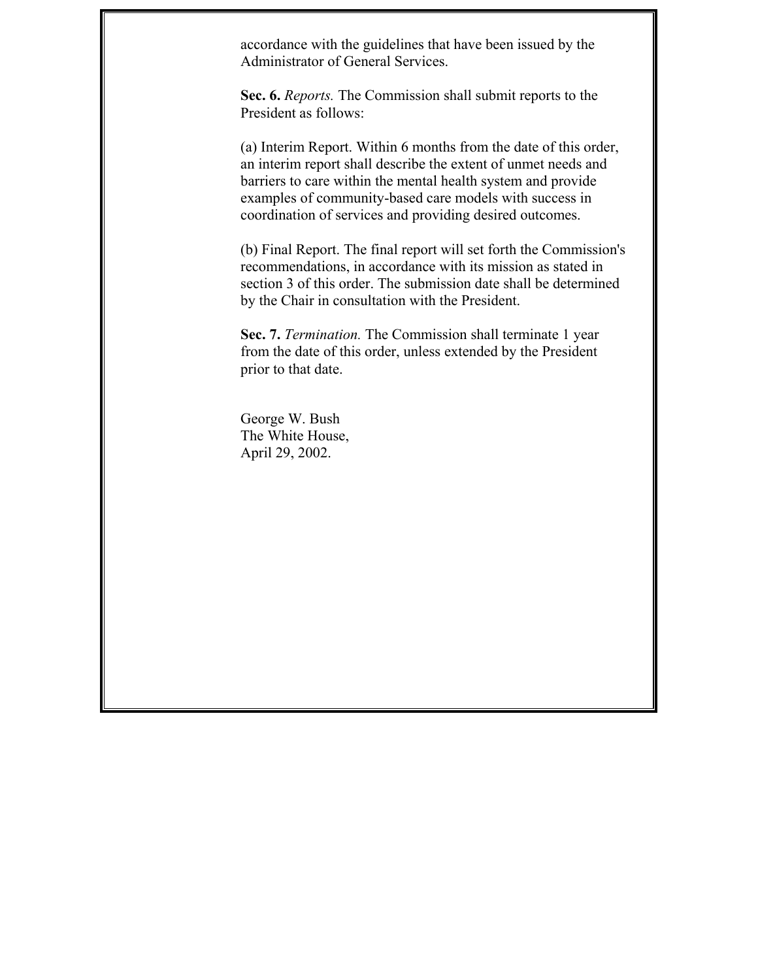accordance with the guidelines that have been issued by the Administrator of General Services.

**Sec. 6.** *Reports.* The Commission shall submit reports to the President as follows:

(a) Interim Report. Within 6 months from the date of this order, an interim report shall describe the extent of unmet needs and barriers to care within the mental health system and provide examples of community-based care models with success in coordination of services and providing desired outcomes.

(b) Final Report. The final report will set forth the Commission's recommendations, in accordance with its mission as stated in section 3 of this order. The submission date shall be determined by the Chair in consultation with the President.

**Sec. 7.** *Termination.* The Commission shall terminate 1 year from the date of this order, unless extended by the President prior to that date.

George W. Bush The White House, April 29, 2002.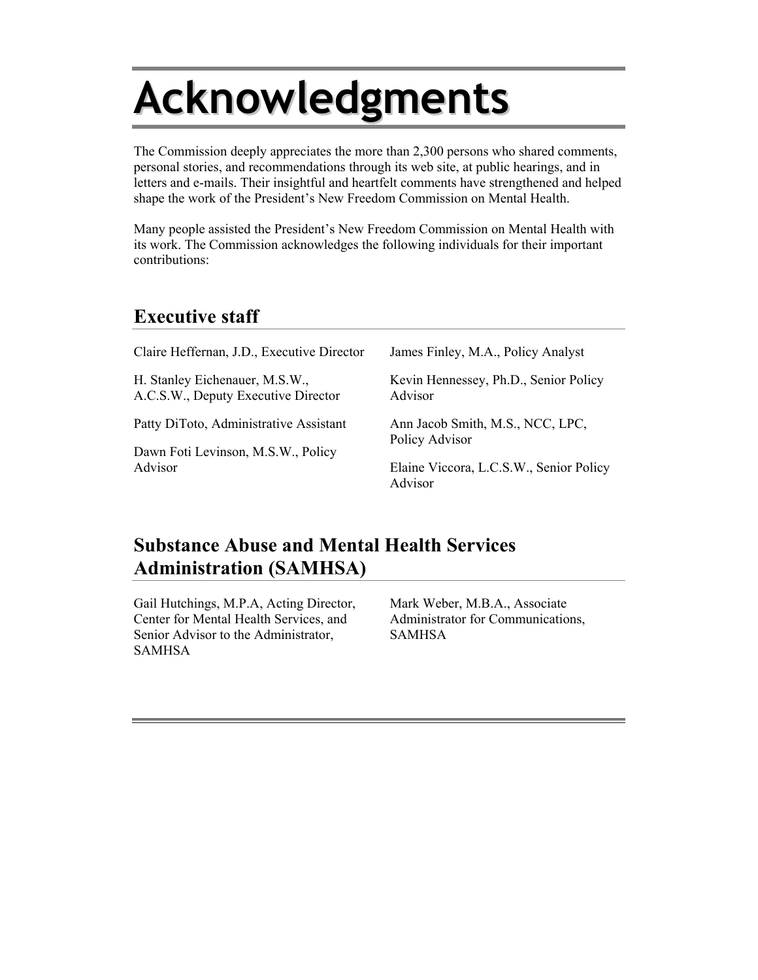# **Acknowledgments**

The Commission deeply appreciates the more than 2,300 persons who shared comments, personal stories, and recommendations through its web site, at public hearings, and in letters and e-mails. Their insightful and heartfelt comments have strengthened and helped shape the work of the President's New Freedom Commission on Mental Health.

Many people assisted the President's New Freedom Commission on Mental Health with its work. The Commission acknowledges the following individuals for their important contributions:

# **Executive staff**

| Claire Heffernan, J.D., Executive Director                            | James Finley, M.A., Policy Analyst                                                                       |  |
|-----------------------------------------------------------------------|----------------------------------------------------------------------------------------------------------|--|
| H. Stanley Eichenauer, M.S.W.,<br>A.C.S.W., Deputy Executive Director | Kevin Hennessey, Ph.D., Senior Policy<br>Advisor                                                         |  |
| Patty DiToto, Administrative Assistant                                | Ann Jacob Smith, M.S., NCC, LPC,<br>Policy Advisor<br>Elaine Viccora, L.C.S.W., Senior Policy<br>Advisor |  |
| Dawn Foti Levinson, M.S.W., Policy<br>Advisor                         |                                                                                                          |  |

# **Substance Abuse and Mental Health Services Administration (SAMHSA)**

Gail Hutchings, M.P.A, Acting Director, Center for Mental Health Services, and Senior Advisor to the Administrator, SAMHSA

Mark Weber, M.B.A., Associate Administrator for Communications, SAMHSA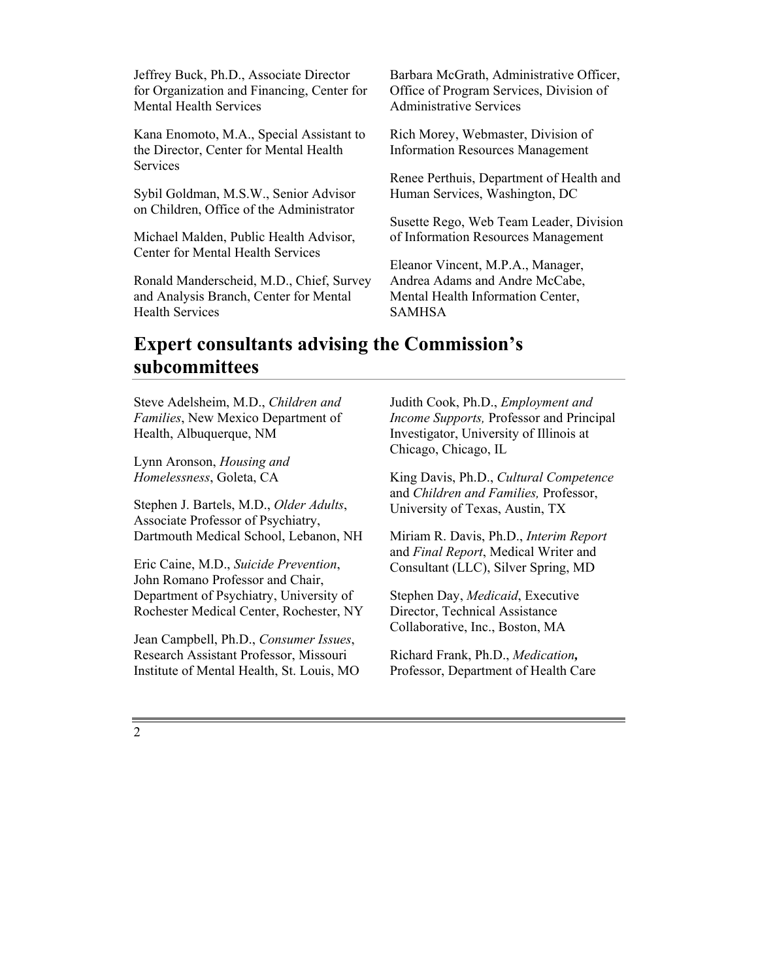Jeffrey Buck, Ph.D., Associate Director for Organization and Financing, Center for Mental Health Services

Kana Enomoto, M.A., Special Assistant to the Director, Center for Mental Health Services

Sybil Goldman, M.S.W., Senior Advisor on Children, Office of the Administrator

Michael Malden, Public Health Advisor, Center for Mental Health Services

Ronald Manderscheid, M.D., Chief, Survey and Analysis Branch, Center for Mental Health Services

Barbara McGrath, Administrative Officer, Office of Program Services, Division of Administrative Services

Rich Morey, Webmaster, Division of Information Resources Management

Renee Perthuis, Department of Health and Human Services, Washington, DC

Susette Rego, Web Team Leader, Division of Information Resources Management

Eleanor Vincent, M.P.A., Manager, Andrea Adams and Andre McCabe, Mental Health Information Center, SAMHSA

# **Expert consultants advising the Commission's subcommittees**

Steve Adelsheim, M.D., *Children and Families*, New Mexico Department of Health, Albuquerque, NM

Lynn Aronson, *Housing and Homelessness*, Goleta, CA

Stephen J. Bartels, M.D., *Older Adults*, Associate Professor of Psychiatry, Dartmouth Medical School, Lebanon, NH

Eric Caine, M.D., *Suicide Prevention*, John Romano Professor and Chair, Department of Psychiatry, University of Rochester Medical Center, Rochester, NY

Jean Campbell, Ph.D., *Consumer Issues*, Research Assistant Professor, Missouri Institute of Mental Health, St. Louis, MO Judith Cook, Ph.D., *Employment and Income Supports,* Professor and Principal Investigator, University of Illinois at Chicago, Chicago, IL

King Davis, Ph.D., *Cultural Competence* and *Children and Families,* Professor, University of Texas, Austin, TX

Miriam R. Davis, Ph.D., *Interim Report*  and *Final Report*, Medical Writer and Consultant (LLC), Silver Spring, MD

Stephen Day, *Medicaid*, Executive Director, Technical Assistance Collaborative, Inc., Boston, MA

Richard Frank, Ph.D., *Medication,*  Professor, Department of Health Care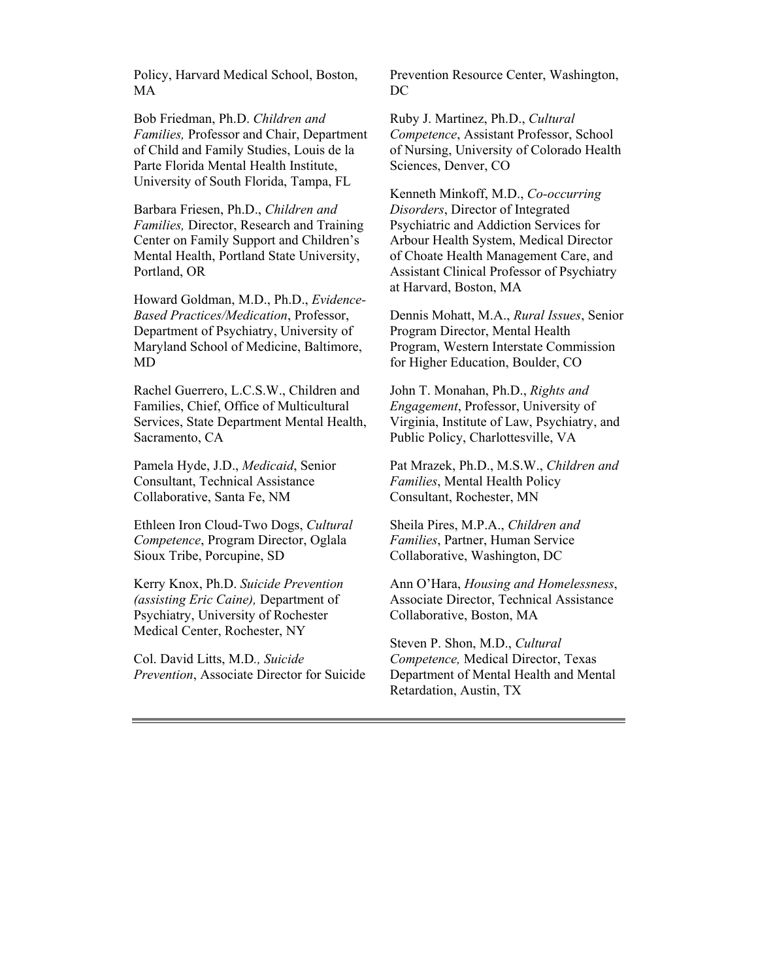Policy, Harvard Medical School, Boston, MA

Bob Friedman, Ph.D. *Children and Families,* Professor and Chair, Department of Child and Family Studies, Louis de la Parte Florida Mental Health Institute, University of South Florida, Tampa, FL

Barbara Friesen, Ph.D., *Children and Families,* Director, Research and Training Center on Family Support and Children's Mental Health, Portland State University, Portland, OR

Howard Goldman, M.D., Ph.D., *Evidence-Based Practices/Medication*, Professor, Department of Psychiatry, University of Maryland School of Medicine, Baltimore, MD

Rachel Guerrero, L.C.S.W., Children and Families, Chief, Office of Multicultural Services, State Department Mental Health, Sacramento, CA

Pamela Hyde, J.D., *Medicaid*, Senior Consultant, Technical Assistance Collaborative, Santa Fe, NM

Ethleen Iron Cloud-Two Dogs, *Cultural Competence*, Program Director, Oglala Sioux Tribe, Porcupine, SD

Kerry Knox, Ph.D. *Suicide Prevention (assisting Eric Caine),* Department of Psychiatry, University of Rochester Medical Center, Rochester, NY

Col. David Litts, M.D*., Suicide Prevention*, Associate Director for Suicide Prevention Resource Center, Washington, DC

Ruby J. Martinez, Ph.D., *Cultural Competence*, Assistant Professor, School of Nursing, University of Colorado Health Sciences, Denver, CO

Kenneth Minkoff, M.D., *Co-occurring Disorders*, Director of Integrated Psychiatric and Addiction Services for Arbour Health System, Medical Director of Choate Health Management Care, and Assistant Clinical Professor of Psychiatry at Harvard, Boston, MA

Dennis Mohatt, M.A., *Rural Issues*, Senior Program Director, Mental Health Program, Western Interstate Commission for Higher Education, Boulder, CO

John T. Monahan, Ph.D., *Rights and Engagement*, Professor, University of Virginia, Institute of Law, Psychiatry, and Public Policy, Charlottesville, VA

Pat Mrazek, Ph.D., M.S.W., *Children and Families*, Mental Health Policy Consultant, Rochester, MN

Sheila Pires, M.P.A., *Children and Families*, Partner, Human Service Collaborative, Washington, DC

Ann O'Hara, *Housing and Homelessness*, Associate Director, Technical Assistance Collaborative, Boston, MA

Steven P. Shon, M.D., *Cultural Competence,* Medical Director, Texas Department of Mental Health and Mental Retardation, Austin, TX